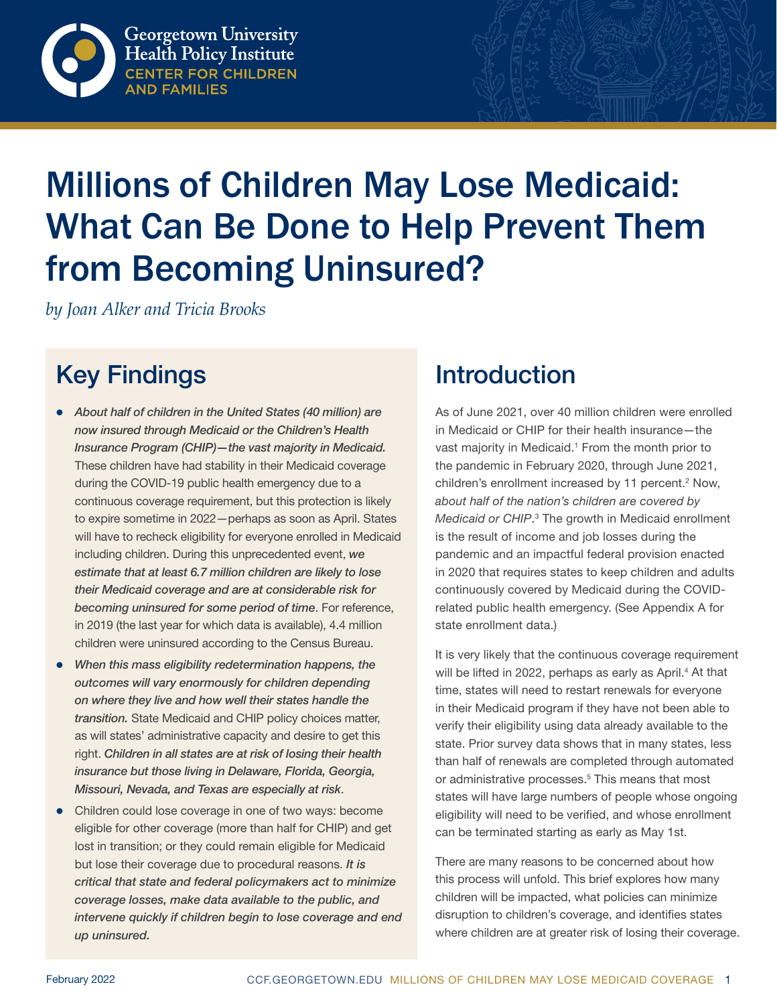

# Millions of Children May Lose Medicaid: What Can Be Done to Help Prevent Them from Becoming Uninsured?

*by Joan Alker and Tricia Brooks*

# Key Findings

- z *About half of children in the United States (40 million) are now insured through Medicaid or the Children's Health Insurance Program (CHIP)—the vast majority in Medicaid.* These children have had stability in their Medicaid coverage during the COVID-19 public health emergency due to a continuous coverage requirement, but this protection is likely to expire sometime in 2022—perhaps as soon as April. States will have to recheck eligibility for everyone enrolled in Medicaid including children. During this unprecedented event, *we estimate that at least 6.7 million children are likely to lose their Medicaid coverage and are at considerable risk for becoming uninsured for some period of time*. For reference, in 2019 (the last year for which data is available), 4.4 million children were uninsured according to the Census Bureau.
- When this mass eligibility redetermination happens, the *outcomes will vary enormously for children depending on where they live and how well their states handle the transition.* State Medicaid and CHIP policy choices matter, as will states' administrative capacity and desire to get this right. *Children in all states are at risk of losing their health insurance but those living in Delaware, Florida, Georgia, Missouri, Nevada, and Texas are especially at risk*.
- Children could lose coverage in one of two ways: become eligible for other coverage (more than half for CHIP) and get lost in transition; or they could remain eligible for Medicaid but lose their coverage due to procedural reasons. *It is critical that state and federal policymakers act to minimize coverage losses, make data available to the public, and intervene quickly if children begin to lose coverage and end up uninsured.*

# **Introduction**

As of June 2021, over 40 million children were enrolled in Medicaid or CHIP for their health insurance—the vast majority in Medicaid.<sup>1</sup> From the month prior to the pandemic in February 2020, through June 2021, children's enrollment increased by 11 percent.<sup>2</sup> Now, *about half of the nation's children are covered by*  Medicaid or CHIP.<sup>3</sup> The growth in Medicaid enrollment is the result of income and job losses during the pandemic and an impactful federal provision enacted in 2020 that requires states to keep children and adults continuously covered by Medicaid during the COVIDrelated public health emergency. (See Appendix A for state enrollment data.)

It is very likely that the continuous coverage requirement will be lifted in 2022, perhaps as early as April.<sup>4</sup> At that time, states will need to restart renewals for everyone in their Medicaid program if they have not been able to verify their eligibility using data already available to the state. Prior survey data shows that in many states, less than half of renewals are completed through automated or administrative processes.<sup>5</sup> This means that most states will have large numbers of people whose ongoing eligibility will need to be verified, and whose enrollment can be terminated starting as early as May 1st.

There are many reasons to be concerned about how this process will unfold. This brief explores how many children will be impacted, what policies can minimize disruption to children's coverage, and identifies states where children are at greater risk of losing their coverage.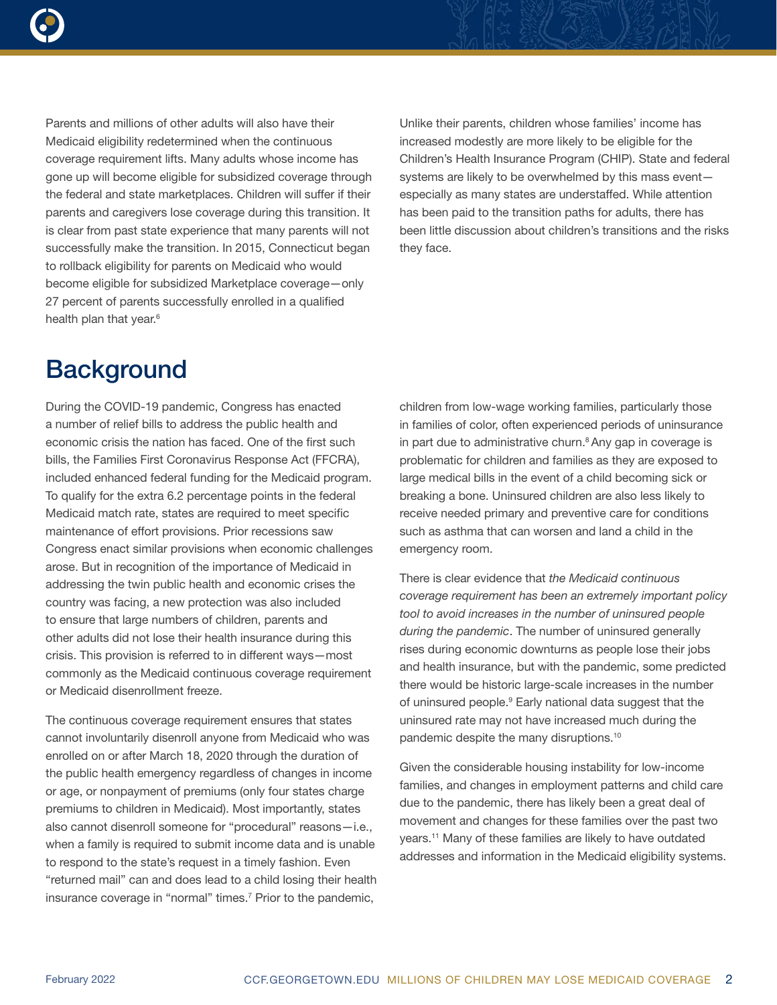

Parents and millions of other adults will also have their Medicaid eligibility redetermined when the continuous coverage requirement lifts. Many adults whose income has gone up will become eligible for subsidized coverage through the federal and state marketplaces. Children will suffer if their parents and caregivers lose coverage during this transition. It is clear from past state experience that many parents will not successfully make the transition. In 2015, Connecticut began to rollback eligibility for parents on Medicaid who would become eligible for subsidized Marketplace coverage—only 27 percent of parents successfully enrolled in a qualified health plan that year.<sup>6</sup>

Unlike their parents, children whose families' income has increased modestly are more likely to be eligible for the Children's Health Insurance Program (CHIP). State and federal systems are likely to be overwhelmed by this mass event especially as many states are understaffed. While attention has been paid to the transition paths for adults, there has been little discussion about children's transitions and the risks they face.

# **Background**

During the COVID-19 pandemic, Congress has enacted a number of relief bills to address the public health and economic crisis the nation has faced. One of the first such bills, the Families First Coronavirus Response Act (FFCRA), included enhanced federal funding for the Medicaid program. To qualify for the extra 6.2 percentage points in the federal Medicaid match rate, states are required to meet specific maintenance of effort provisions. Prior recessions saw Congress enact similar provisions when economic challenges arose. But in recognition of the importance of Medicaid in addressing the twin public health and economic crises the country was facing, a new protection was also included to ensure that large numbers of children, parents and other adults did not lose their health insurance during this crisis. This provision is referred to in different ways—most commonly as the Medicaid continuous coverage requirement or Medicaid disenrollment freeze.

The continuous coverage requirement ensures that states cannot involuntarily disenroll anyone from Medicaid who was enrolled on or after March 18, 2020 through the duration of the public health emergency regardless of changes in income or age, or nonpayment of premiums (only four states charge premiums to children in Medicaid). Most importantly, states also cannot disenroll someone for "procedural" reasons—i.e., when a family is required to submit income data and is unable to respond to the state's request in a timely fashion. Even "returned mail" can and does lead to a child losing their health insurance coverage in "normal" times.<sup>7</sup> Prior to the pandemic,

children from low-wage working families, particularly those in families of color, often experienced periods of uninsurance in part due to administrative churn. $8$  Any gap in coverage is problematic for children and families as they are exposed to large medical bills in the event of a child becoming sick or breaking a bone. Uninsured children are also less likely to receive needed primary and preventive care for conditions such as asthma that can worsen and land a child in the emergency room.

There is clear evidence that *the Medicaid continuous coverage requirement has been an extremely important policy tool to avoid increases in the number of uninsured people during the pandemic*. The number of uninsured generally rises during economic downturns as people lose their jobs and health insurance, but with the pandemic, some predicted there would be historic large-scale increases in the number of uninsured people.<sup>9</sup> Early national data suggest that the uninsured rate may not have increased much during the pandemic despite the many disruptions.10

Given the considerable housing instability for low-income families, and changes in employment patterns and child care due to the pandemic, there has likely been a great deal of movement and changes for these families over the past two years.11 Many of these families are likely to have outdated addresses and information in the Medicaid eligibility systems.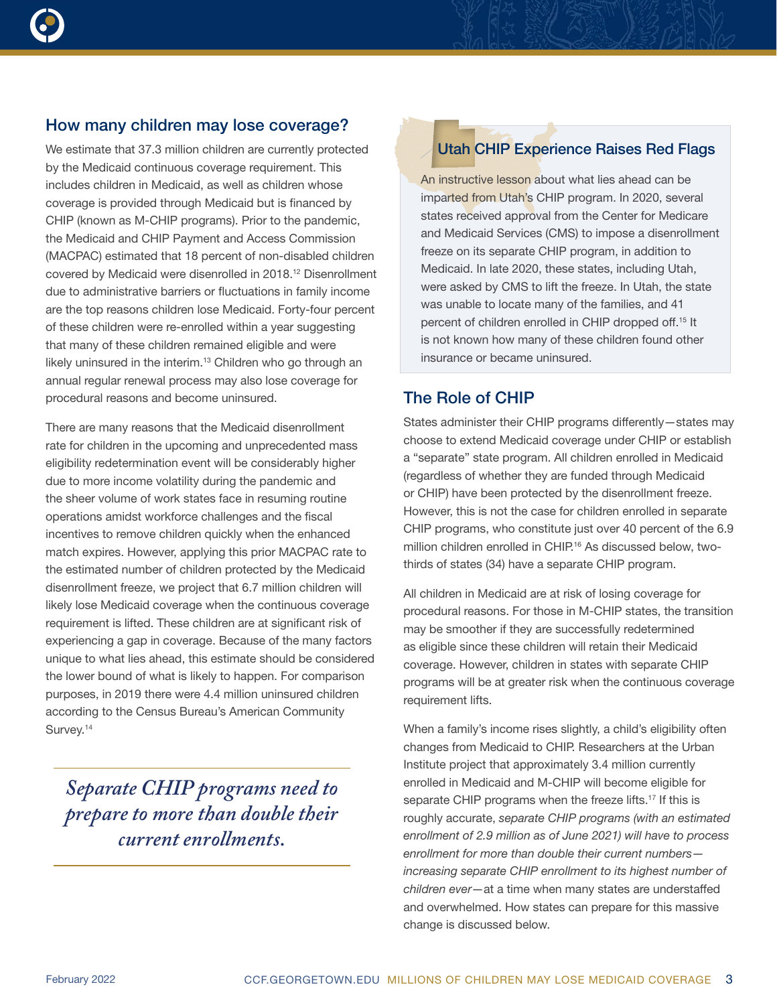

# How many children may lose coverage?

We estimate that 37.3 million children are currently protected by the Medicaid continuous coverage requirement. This includes children in Medicaid, as well as children whose coverage is provided through Medicaid but is financed by CHIP (known as M-CHIP programs). Prior to the pandemic, the Medicaid and CHIP Payment and Access Commission (MACPAC) estimated that 18 percent of non-disabled children covered by Medicaid were disenrolled in 2018.12 Disenrollment due to administrative barriers or fluctuations in family income are the top reasons children lose Medicaid. Forty-four percent of these children were re-enrolled within a year suggesting that many of these children remained eligible and were likely uninsured in the interim.<sup>13</sup> Children who go through an annual regular renewal process may also lose coverage for procedural reasons and become uninsured.

There are many reasons that the Medicaid disenrollment rate for children in the upcoming and unprecedented mass eligibility redetermination event will be considerably higher due to more income volatility during the pandemic and the sheer volume of work states face in resuming routine operations amidst workforce challenges and the fiscal incentives to remove children quickly when the enhanced match expires. However, applying this prior MACPAC rate to the estimated number of children protected by the Medicaid disenrollment freeze, we project that 6.7 million children will likely lose Medicaid coverage when the continuous coverage requirement is lifted. These children are at significant risk of experiencing a gap in coverage. Because of the many factors unique to what lies ahead, this estimate should be considered the lower bound of what is likely to happen. For comparison purposes, in 2019 there were 4.4 million uninsured children according to the Census Bureau's American Community Survey.<sup>14</sup>

*Separate CHIP programs need to prepare to more than double their current enrollments.*

#### Utah CHIP Experience Raises Red Flags

An instructive lesson about what lies ahead can be imparted from Utah's CHIP program. In 2020, several states received approval from the Center for Medicare and Medicaid Services (CMS) to impose a disenrollment freeze on its separate CHIP program, in addition to Medicaid. In late 2020, these states, including Utah, were asked by CMS to lift the freeze. In Utah, the state was unable to locate many of the families, and 41 percent of children enrolled in CHIP dropped off.15 It is not known how many of these children found other insurance or became uninsured.

### The Role of CHIP

States administer their CHIP programs differently—states may choose to extend Medicaid coverage under CHIP or establish a "separate" state program. All children enrolled in Medicaid (regardless of whether they are funded through Medicaid or CHIP) have been protected by the disenrollment freeze. However, this is not the case for children enrolled in separate CHIP programs, who constitute just over 40 percent of the 6.9 million children enrolled in CHIP.<sup>16</sup> As discussed below, twothirds of states (34) have a separate CHIP program.

All children in Medicaid are at risk of losing coverage for procedural reasons. For those in M-CHIP states, the transition may be smoother if they are successfully redetermined as eligible since these children will retain their Medicaid coverage. However, children in states with separate CHIP programs will be at greater risk when the continuous coverage requirement lifts.

When a family's income rises slightly, a child's eligibility often changes from Medicaid to CHIP. Researchers at the Urban Institute project that approximately 3.4 million currently enrolled in Medicaid and M-CHIP will become eligible for separate CHIP programs when the freeze lifts.<sup>17</sup> If this is roughly accurate, *separate CHIP programs (with an estimated enrollment of 2.9 million as of June 2021) will have to process enrollment for more than double their current numbers increasing separate CHIP enrollment to its highest number of children ever*—at a time when many states are understaffed and overwhelmed. How states can prepare for this massive change is discussed below.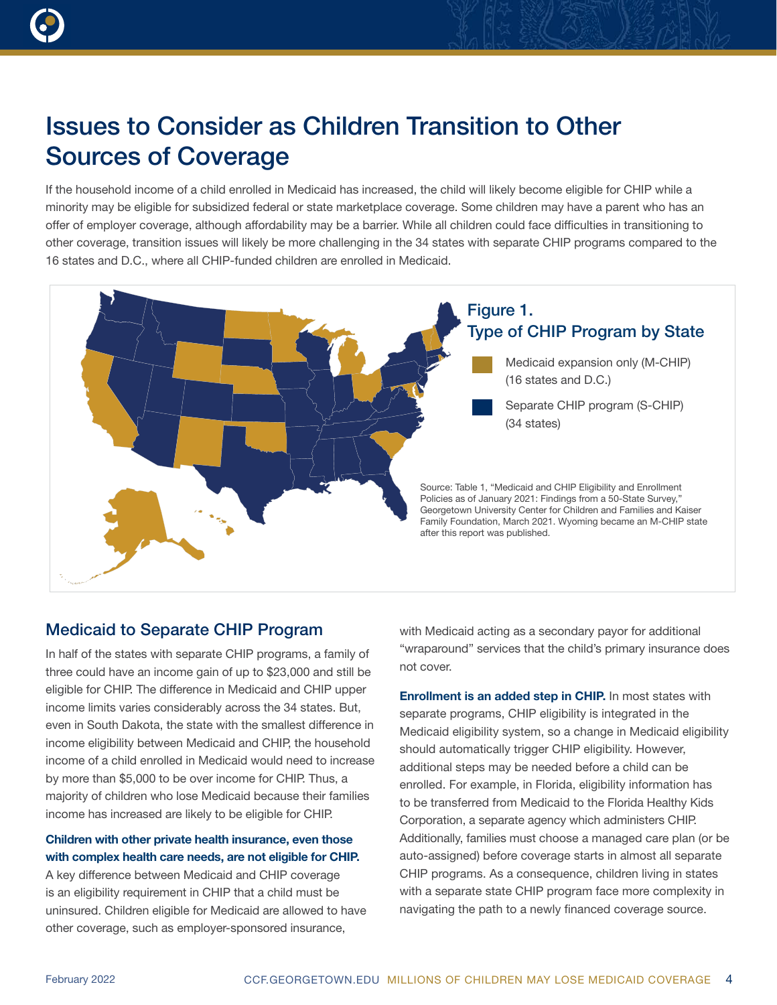

# Issues to Consider as Children Transition to Other Sources of Coverage

If the household income of a child enrolled in Medicaid has increased, the child will likely become eligible for CHIP while a minority may be eligible for subsidized federal or state marketplace coverage. Some children may have a parent who has an offer of employer coverage, although affordability may be a barrier. While all children could face difficulties in transitioning to other coverage, transition issues will likely be more challenging in the 34 states with separate CHIP programs compared to the 16 states and D.C., where all CHIP-funded children are enrolled in Medicaid.



# Medicaid to Separate CHIP Program

In half of the states with separate CHIP programs, a family of three could have an income gain of up to \$23,000 and still be eligible for CHIP. The difference in Medicaid and CHIP upper income limits varies considerably across the 34 states. But, even in South Dakota, the state with the smallest difference in income eligibility between Medicaid and CHIP, the household income of a child enrolled in Medicaid would need to increase by more than \$5,000 to be over income for CHIP. Thus, a majority of children who lose Medicaid because their families income has increased are likely to be eligible for CHIP.

### Children with other private health insurance, even those with complex health care needs, are not eligible for CHIP.

A key difference between Medicaid and CHIP coverage is an eligibility requirement in CHIP that a child must be uninsured. Children eligible for Medicaid are allowed to have other coverage, such as employer-sponsored insurance,

with Medicaid acting as a secondary payor for additional "wraparound" services that the child's primary insurance does not cover.

Enrollment is an added step in CHIP. In most states with separate programs, CHIP eligibility is integrated in the Medicaid eligibility system, so a change in Medicaid eligibility should automatically trigger CHIP eligibility. However, additional steps may be needed before a child can be enrolled. For example, in Florida, eligibility information has to be transferred from Medicaid to the Florida Healthy Kids Corporation, a separate agency which administers CHIP. Additionally, families must choose a managed care plan (or be auto-assigned) before coverage starts in almost all separate CHIP programs. As a consequence, children living in states with a separate state CHIP program face more complexity in navigating the path to a newly financed coverage source.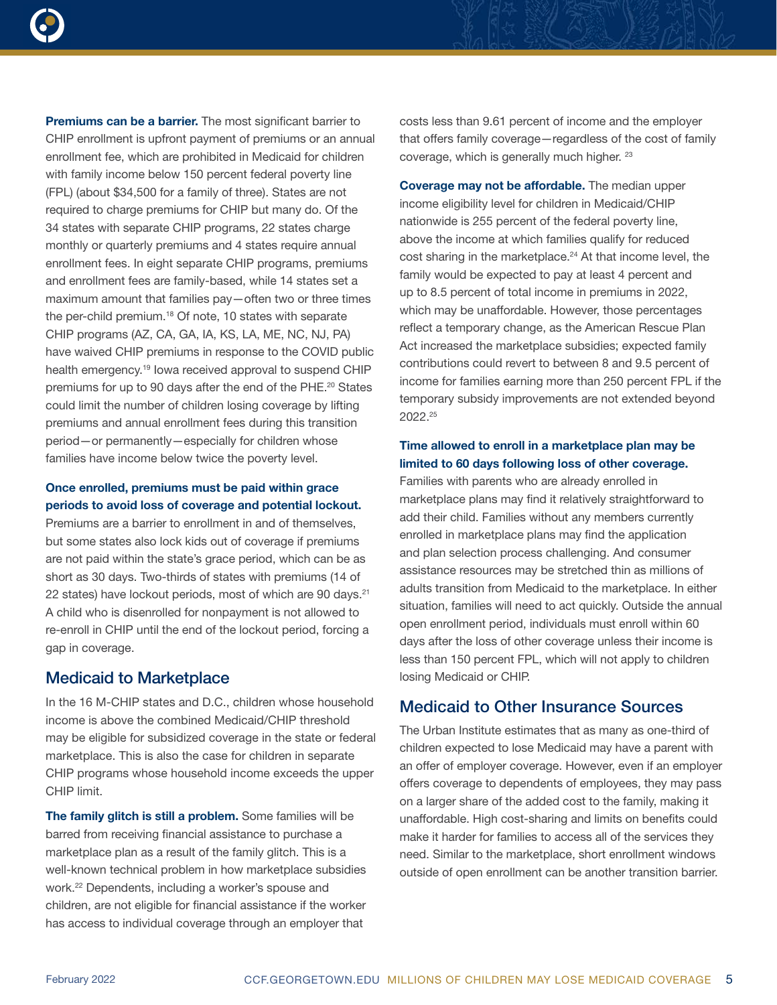

Premiums can be a barrier. The most significant barrier to CHIP enrollment is upfront payment of premiums or an annual enrollment fee, which are prohibited in Medicaid for children with family income below 150 percent federal poverty line (FPL) (about \$34,500 for a family of three). States are not required to charge premiums for CHIP but many do. Of the 34 states with separate CHIP programs, 22 states charge monthly or quarterly premiums and 4 states require annual enrollment fees. In eight separate CHIP programs, premiums and enrollment fees are family-based, while 14 states set a maximum amount that families pay—often two or three times the per-child premium.18 Of note, 10 states with separate CHIP programs (AZ, CA, GA, IA, KS, LA, ME, NC, NJ, PA) have waived CHIP premiums in response to the COVID public health emergency.19 Iowa received approval to suspend CHIP premiums for up to 90 days after the end of the PHE.<sup>20</sup> States could limit the number of children losing coverage by lifting premiums and annual enrollment fees during this transition period—or permanently—especially for children whose families have income below twice the poverty level.

### Once enrolled, premiums must be paid within grace periods to avoid loss of coverage and potential lockout.

Premiums are a barrier to enrollment in and of themselves, but some states also lock kids out of coverage if premiums are not paid within the state's grace period, which can be as short as 30 days. Two-thirds of states with premiums (14 of 22 states) have lockout periods, most of which are 90 days.<sup>21</sup> A child who is disenrolled for nonpayment is not allowed to re-enroll in CHIP until the end of the lockout period, forcing a gap in coverage.

### Medicaid to Marketplace

In the 16 M-CHIP states and D.C., children whose household income is above the combined Medicaid/CHIP threshold may be eligible for subsidized coverage in the state or federal marketplace. This is also the case for children in separate CHIP programs whose household income exceeds the upper CHIP limit.

The family glitch is still a problem. Some families will be barred from receiving financial assistance to purchase a marketplace plan as a result of the family glitch. This is a well-known technical problem in how marketplace subsidies work.22 Dependents, including a worker's spouse and children, are not eligible for financial assistance if the worker has access to individual coverage through an employer that

costs less than 9.61 percent of income and the employer that offers family coverage—regardless of the cost of family coverage, which is generally much higher. 23

Coverage may not be affordable. The median upper income eligibility level for children in Medicaid/CHIP nationwide is 255 percent of the federal poverty line, above the income at which families qualify for reduced cost sharing in the marketplace.<sup>24</sup> At that income level, the family would be expected to pay at least 4 percent and up to 8.5 percent of total income in premiums in 2022, which may be unaffordable. However, those percentages reflect a temporary change, as the American Rescue Plan Act increased the marketplace subsidies; expected family contributions could revert to between 8 and 9.5 percent of income for families earning more than 250 percent FPL if the temporary subsidy improvements are not extended beyond 2022.25

#### Time allowed to enroll in a marketplace plan may be limited to 60 days following loss of other coverage.

Families with parents who are already enrolled in marketplace plans may find it relatively straightforward to add their child. Families without any members currently enrolled in marketplace plans may find the application and plan selection process challenging. And consumer assistance resources may be stretched thin as millions of adults transition from Medicaid to the marketplace. In either situation, families will need to act quickly. Outside the annual open enrollment period, individuals must enroll within 60 days after the loss of other coverage unless their income is less than 150 percent FPL, which will not apply to children losing Medicaid or CHIP.

## Medicaid to Other Insurance Sources

The Urban Institute estimates that as many as one-third of children expected to lose Medicaid may have a parent with an offer of employer coverage. However, even if an employer offers coverage to dependents of employees, they may pass on a larger share of the added cost to the family, making it unaffordable. High cost-sharing and limits on benefits could make it harder for families to access all of the services they need. Similar to the marketplace, short enrollment windows outside of open enrollment can be another transition barrier.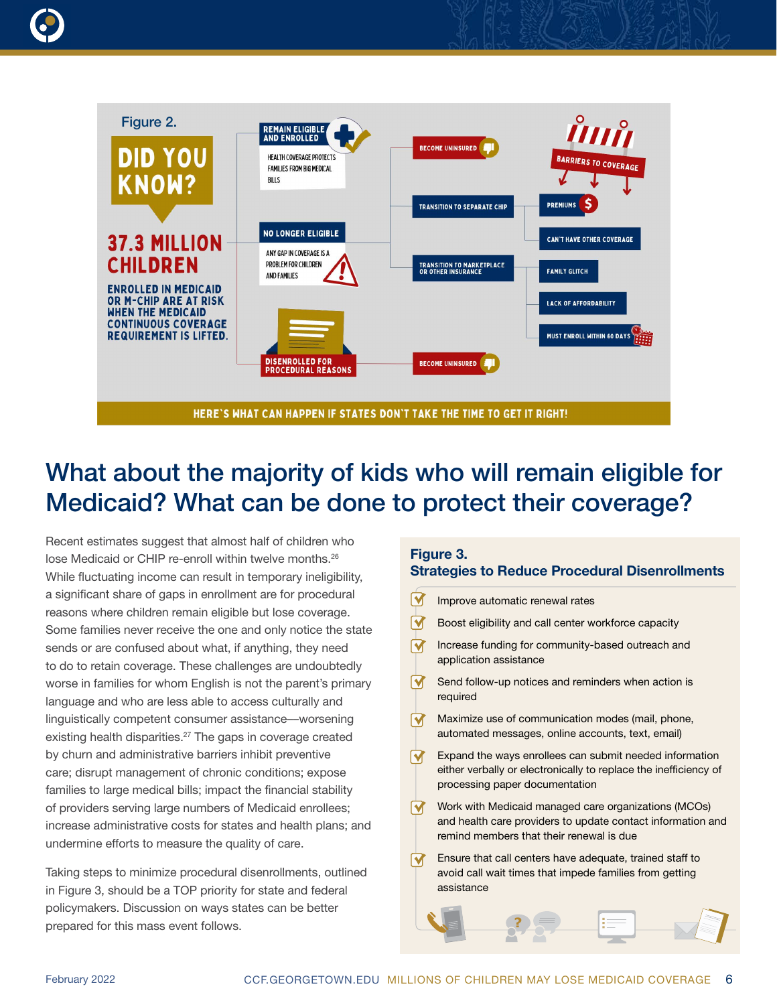



# What about the majority of kids who will remain eligible for Medicaid? What can be done to protect their coverage?

Recent estimates suggest that almost half of children who lose Medicaid or CHIP re-enroll within twelve months.26 While fluctuating income can result in temporary ineligibility, a significant share of gaps in enrollment are for procedural reasons where children remain eligible but lose coverage. Some families never receive the one and only notice the state sends or are confused about what, if anything, they need to do to retain coverage. These challenges are undoubtedly worse in families for whom English is not the parent's primary language and who are less able to access culturally and linguistically competent consumer assistance––worsening existing health disparities.<sup>27</sup> The gaps in coverage created by churn and administrative barriers inhibit preventive care; disrupt management of chronic conditions; expose families to large medical bills; impact the financial stability of providers serving large numbers of Medicaid enrollees; increase administrative costs for states and health plans; and undermine efforts to measure the quality of care.

Taking steps to minimize procedural disenrollments, outlined in Figure 3, should be a TOP priority for state and federal policymakers. Discussion on ways states can be better prepared for this mass event follows.

### Figure 3. Strategies to Reduce Procedural Disenrollments

| Improve automatic renewal rates                                                                                                                                 |
|-----------------------------------------------------------------------------------------------------------------------------------------------------------------|
| Boost eligibility and call center workforce capacity                                                                                                            |
| Increase funding for community-based outreach and<br>application assistance                                                                                     |
| Send follow-up notices and reminders when action is<br>required                                                                                                 |
| Maximize use of communication modes (mail, phone,<br>automated messages, online accounts, text, email)                                                          |
| Expand the ways enrollees can submit needed information<br>either verbally or electronically to replace the inefficiency of<br>processing paper documentation   |
| Work with Medicaid managed care organizations (MCOs)<br>and health care providers to update contact information and<br>remind members that their renewal is due |
| Ensure that call centers have adequate, trained staff to<br>avoid call wait times that impede families from getting<br>assistance                               |
|                                                                                                                                                                 |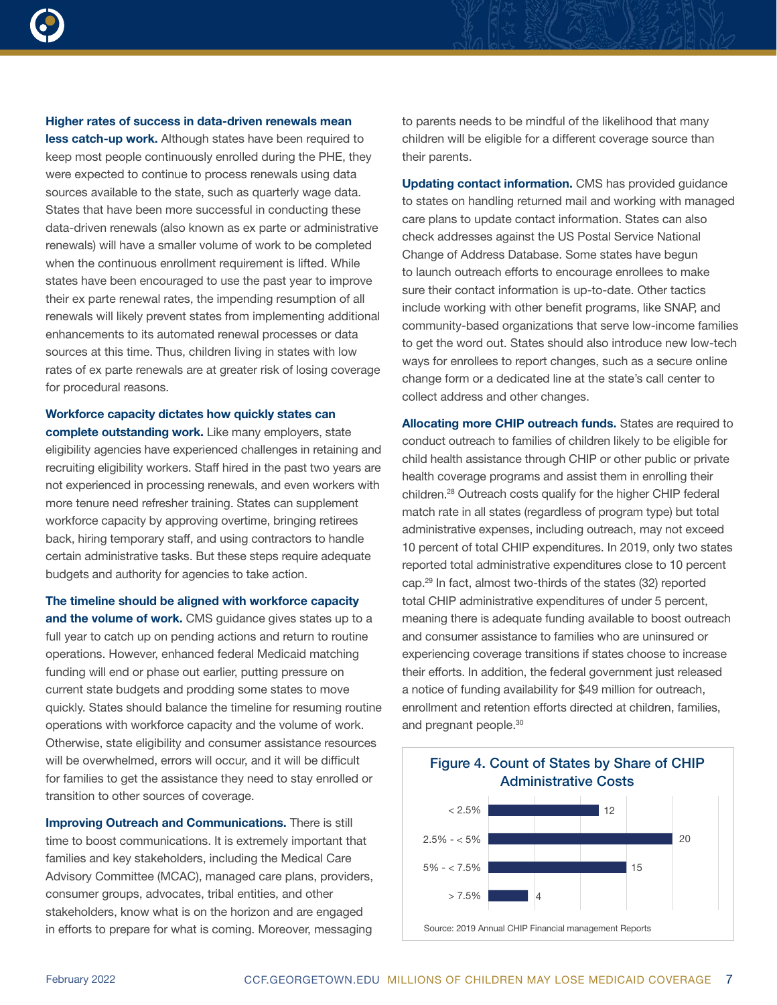

## Higher rates of success in data-driven renewals mean less catch-up work. Although states have been required to keep most people continuously enrolled during the PHE, they were expected to continue to process renewals using data sources available to the state, such as quarterly wage data. States that have been more successful in conducting these data-driven renewals (also known as ex parte or administrative renewals) will have a smaller volume of work to be completed when the continuous enrollment requirement is lifted. While states have been encouraged to use the past year to improve their ex parte renewal rates, the impending resumption of all renewals will likely prevent states from implementing additional enhancements to its automated renewal processes or data sources at this time. Thus, children living in states with low rates of ex parte renewals are at greater risk of losing coverage

Workforce capacity dictates how quickly states can complete outstanding work. Like many employers, state eligibility agencies have experienced challenges in retaining and recruiting eligibility workers. Staff hired in the past two years are not experienced in processing renewals, and even workers with more tenure need refresher training. States can supplement workforce capacity by approving overtime, bringing retirees back, hiring temporary staff, and using contractors to handle certain administrative tasks. But these steps require adequate budgets and authority for agencies to take action.

for procedural reasons.

The timeline should be aligned with workforce capacity and the volume of work. CMS quidance gives states up to a full year to catch up on pending actions and return to routine operations. However, enhanced federal Medicaid matching funding will end or phase out earlier, putting pressure on current state budgets and prodding some states to move quickly. States should balance the timeline for resuming routine operations with workforce capacity and the volume of work. Otherwise, state eligibility and consumer assistance resources will be overwhelmed, errors will occur, and it will be difficult for families to get the assistance they need to stay enrolled or transition to other sources of coverage.

Improving Outreach and Communications. There is still time to boost communications. It is extremely important that families and key stakeholders, including the Medical Care Advisory Committee (MCAC), managed care plans, providers, consumer groups, advocates, tribal entities, and other stakeholders, know what is on the horizon and are engaged in efforts to prepare for what is coming. Moreover, messaging

to parents needs to be mindful of the likelihood that many children will be eligible for a different coverage source than their parents.

Updating contact information. CMS has provided guidance to states on handling returned mail and working with managed care plans to update contact information. States can also check addresses against the US Postal Service National Change of Address Database. Some states have begun to launch outreach efforts to encourage enrollees to make sure their contact information is up-to-date. Other tactics include working with other benefit programs, like SNAP, and community-based organizations that serve low-income families to get the word out. States should also introduce new low-tech ways for enrollees to report changes, such as a secure online change form or a dedicated line at the state's call center to collect address and other changes.

Allocating more CHIP outreach funds. States are required to conduct outreach to families of children likely to be eligible for child health assistance through CHIP or other public or private health coverage programs and assist them in enrolling their children.28 Outreach costs qualify for the higher CHIP federal match rate in all states (regardless of program type) but total administrative expenses, including outreach, may not exceed 10 percent of total CHIP expenditures. In 2019, only two states reported total administrative expenditures close to 10 percent cap.29 In fact, almost two-thirds of the states (32) reported total CHIP administrative expenditures of under 5 percent, meaning there is adequate funding available to boost outreach and consumer assistance to families who are uninsured or experiencing coverage transitions if states choose to increase their efforts. In addition, the federal government just released a notice of funding availability for \$49 million for outreach, enrollment and retention efforts directed at children, families, and pregnant people.<sup>30</sup>

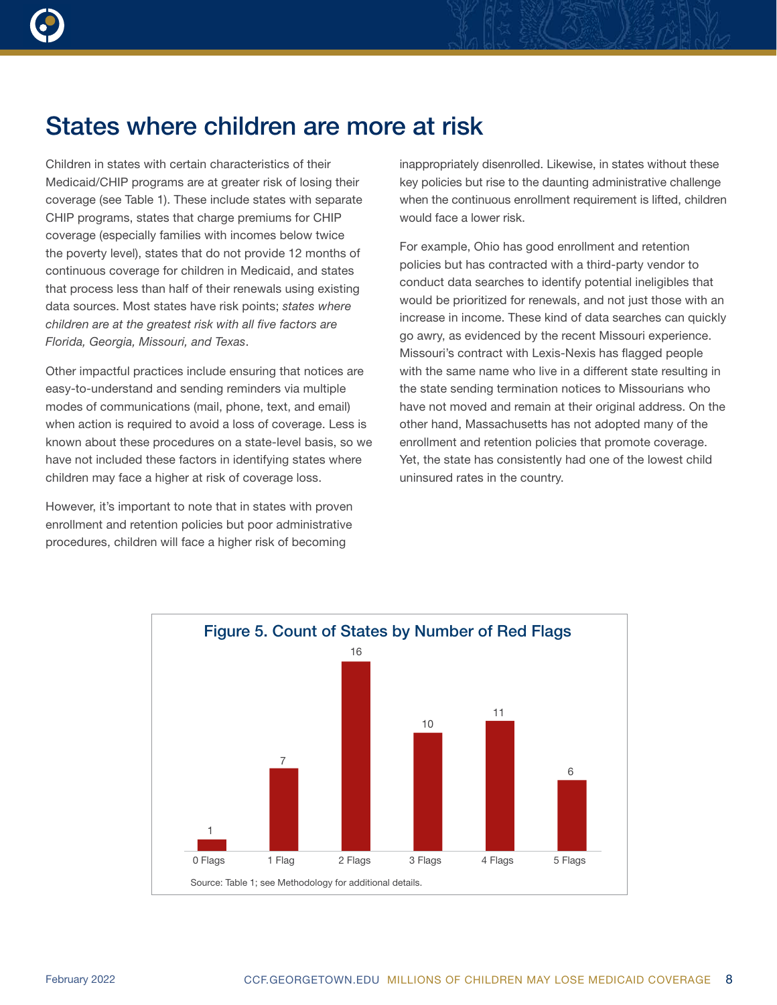

Children in states with certain characteristics of their Medicaid/CHIP programs are at greater risk of losing their coverage (see Table 1). These include states with separate CHIP programs, states that charge premiums for CHIP coverage (especially families with incomes below twice the poverty level), states that do not provide 12 months of continuous coverage for children in Medicaid, and states that process less than half of their renewals using existing data sources. Most states have risk points; *states where children are at the greatest risk with all five factors are Florida, Georgia, Missouri, and Texas*.

Other impactful practices include ensuring that notices are easy-to-understand and sending reminders via multiple modes of communications (mail, phone, text, and email) when action is required to avoid a loss of coverage. Less is known about these procedures on a state-level basis, so we have not included these factors in identifying states where children may face a higher at risk of coverage loss.

However, it's important to note that in states with proven enrollment and retention policies but poor administrative procedures, children will face a higher risk of becoming

inappropriately disenrolled. Likewise, in states without these key policies but rise to the daunting administrative challenge when the continuous enrollment requirement is lifted, children would face a lower risk.

For example, Ohio has good enrollment and retention policies but has contracted with a third-party vendor to conduct data searches to identify potential ineligibles that would be prioritized for renewals, and not just those with an increase in income. These kind of data searches can quickly go awry, as evidenced by the recent Missouri experience. Missouri's contract with Lexis-Nexis has flagged people with the same name who live in a different state resulting in the state sending termination notices to Missourians who have not moved and remain at their original address. On the other hand, Massachusetts has not adopted many of the enrollment and retention policies that promote coverage. Yet, the state has consistently had one of the lowest child uninsured rates in the country.

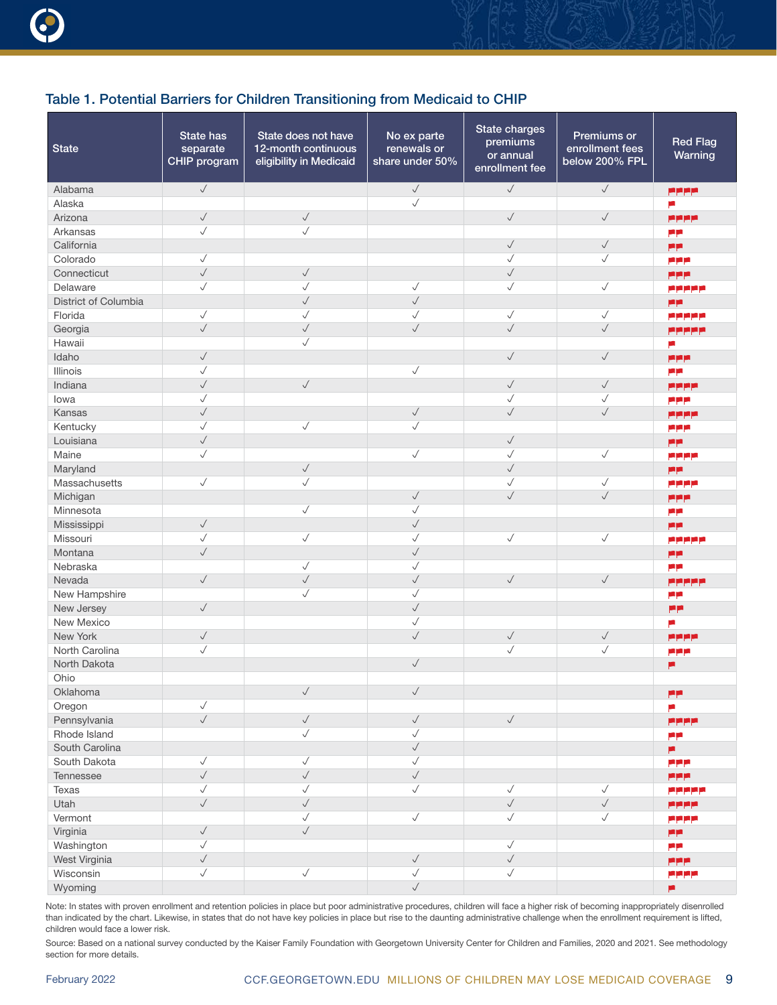| Alabama<br>pppp<br>$\checkmark$<br>Alaska<br>ш<br>$\checkmark$<br>$\checkmark$<br>$\checkmark$<br>$\checkmark$<br>Arizona<br>pppp<br>$\checkmark$<br>✓<br>Arkansas<br>مرم<br>$\checkmark$<br>$\checkmark$<br>California<br>P۴<br>Colorado<br>$\checkmark$<br>$\checkmark$<br>$\checkmark$<br>مرعرم<br>$\checkmark$<br>$\checkmark$<br>$\checkmark$<br>Connecticut<br>ppp<br>$\checkmark$<br>$\checkmark$<br>$\checkmark$<br>$\checkmark$<br>$\checkmark$<br>Delaware<br>a pipipip<br>$\checkmark$<br>$\checkmark$<br>District of Columbia<br>p۴<br>$\checkmark$<br>$\checkmark$<br>$\checkmark$<br>✓<br>$\checkmark$<br>Florida<br>مرمرمرمرمر<br>$\checkmark$<br>$\checkmark$<br>$\checkmark$<br>$\checkmark$<br>$\checkmark$<br>Georgia<br>مرمرمرمرمر<br>Hawaii<br>$\checkmark$<br>ρ<br>$\checkmark$<br>$\checkmark$<br>$\checkmark$<br>Idaho<br>ppp<br>$\checkmark$<br>$\checkmark$<br>Illinois<br>P۴<br>$\checkmark$<br>$\checkmark$<br>$\checkmark$<br>$\checkmark$<br>Indiana<br><b>APPE</b><br>$\checkmark$<br>√<br>$\checkmark$<br>lowa<br>ppp<br>$\checkmark$<br>$\checkmark$<br>$\checkmark$<br>$\checkmark$<br>Kansas<br>فرفرقر<br>Kentucky<br>$\checkmark$<br>$\checkmark$<br>$\checkmark$<br>مرمرم<br>$\checkmark$<br>$\checkmark$<br>Louisiana<br>P۴<br>$\checkmark$<br>$\checkmark$<br>$\checkmark$<br>$\checkmark$<br>Maine<br>مرمرم<br>$\sqrt{}$<br>$\checkmark$<br>Maryland<br>فرقر<br>$\checkmark$<br>$\checkmark$<br>√<br>$\checkmark$<br>Massachusetts<br>مرمرم<br>$\checkmark$<br>$\checkmark$<br>$\checkmark$<br>Michigan<br>ppp<br>$\checkmark$<br>Minnesota<br>$\checkmark$<br>مرمر<br>$\checkmark$<br>$\checkmark$<br>Mississippi<br>pp<br>$\checkmark$<br>$\checkmark$<br>$\checkmark$<br>$\checkmark$<br>$\checkmark$<br>Missouri<br>مرمرم مرم<br>$\checkmark$<br>$\checkmark$<br>Montana<br>P۴<br>$\checkmark$<br>$\checkmark$<br>Nebraska<br>د م<br>$\checkmark$<br>$\checkmark$<br>$\checkmark$<br>$\checkmark$<br>$\checkmark$<br>Nevada<br>مرمرمرمرم<br>New Hampshire<br>$\checkmark$<br>$\checkmark$<br>P۴<br>$\checkmark$<br>$\checkmark$<br>New Jersey<br>عرم<br>$\checkmark$<br>New Mexico<br>E.<br>$\checkmark$<br>$\checkmark$<br>$\checkmark$<br>$\checkmark$<br>New York<br>فرفرق<br>$\checkmark$<br>√<br>✓<br>North Carolina<br>مرمرم<br>$\checkmark$<br>North Dakota<br>×<br>Ohio<br>$\checkmark$<br>$\checkmark$<br>Oklahoma<br>P۴<br>$\checkmark$<br>Oregon<br>p.<br>$\checkmark$<br>$\checkmark$<br>$\checkmark$<br>$\checkmark$<br>Pennsylvania<br>pppp<br>$\checkmark$<br>$\sqrt{}$<br>Rhode Island<br>P۴<br>$\checkmark$<br>South Carolina<br>p<br>$\checkmark$<br>South Dakota<br>$\checkmark$<br>$\checkmark$<br>مرمرم<br>$\checkmark$<br>$\checkmark$<br>$\checkmark$<br>Tennessee<br><b>PPP</b><br>$\checkmark$<br>$\checkmark$<br>$\checkmark$<br>$\checkmark$<br>$\checkmark$<br>Texas<br>ppppp<br>$\checkmark$<br>$\checkmark$<br>$\checkmark$<br>$\checkmark$<br>Utah<br>pppp<br>$\checkmark$<br>$\checkmark$<br>$\checkmark$<br>$\checkmark$<br>Vermont<br>فرفرقرة<br>$\checkmark$<br>$\checkmark$<br>Virginia<br>P۴<br>$\checkmark$<br>$\checkmark$<br>Washington<br>فرقر<br>$\checkmark$<br>$\checkmark$<br>$\checkmark$<br>West Virginia<br><b>PPP</b><br>$\checkmark$<br>$\checkmark$<br>Wisconsin<br>$\checkmark$<br>$\checkmark$<br><b>PERE</b> | <b>State</b> | State has<br>separate<br>CHIP program | State does not have<br>12-month continuous<br>eligibility in Medicaid | No ex parte<br>renewals or<br>share under 50% | State charges<br>premiums<br>or annual<br>enrollment fee | Premiums or<br>enrollment fees<br>below 200% FPL | <b>Red Flag</b><br>Warning |
|----------------------------------------------------------------------------------------------------------------------------------------------------------------------------------------------------------------------------------------------------------------------------------------------------------------------------------------------------------------------------------------------------------------------------------------------------------------------------------------------------------------------------------------------------------------------------------------------------------------------------------------------------------------------------------------------------------------------------------------------------------------------------------------------------------------------------------------------------------------------------------------------------------------------------------------------------------------------------------------------------------------------------------------------------------------------------------------------------------------------------------------------------------------------------------------------------------------------------------------------------------------------------------------------------------------------------------------------------------------------------------------------------------------------------------------------------------------------------------------------------------------------------------------------------------------------------------------------------------------------------------------------------------------------------------------------------------------------------------------------------------------------------------------------------------------------------------------------------------------------------------------------------------------------------------------------------------------------------------------------------------------------------------------------------------------------------------------------------------------------------------------------------------------------------------------------------------------------------------------------------------------------------------------------------------------------------------------------------------------------------------------------------------------------------------------------------------------------------------------------------------------------------------------------------------------------------------------------------------------------------------------------------------------------------------------------------------------------------------------------------------------------------------------------------------------------------------------------------------------------------------------------------------------------------------------------------------------------------------------------------------------------------------------------------------------------------------------------------------------------------------------------------------------------------------------------------------------------------------------------------------------------------------------------------------------|--------------|---------------------------------------|-----------------------------------------------------------------------|-----------------------------------------------|----------------------------------------------------------|--------------------------------------------------|----------------------------|
|                                                                                                                                                                                                                                                                                                                                                                                                                                                                                                                                                                                                                                                                                                                                                                                                                                                                                                                                                                                                                                                                                                                                                                                                                                                                                                                                                                                                                                                                                                                                                                                                                                                                                                                                                                                                                                                                                                                                                                                                                                                                                                                                                                                                                                                                                                                                                                                                                                                                                                                                                                                                                                                                                                                                                                                                                                                                                                                                                                                                                                                                                                                                                                                                                                                                                                                |              | $\checkmark$                          |                                                                       | $\checkmark$                                  | $\checkmark$                                             | $\checkmark$                                     |                            |
|                                                                                                                                                                                                                                                                                                                                                                                                                                                                                                                                                                                                                                                                                                                                                                                                                                                                                                                                                                                                                                                                                                                                                                                                                                                                                                                                                                                                                                                                                                                                                                                                                                                                                                                                                                                                                                                                                                                                                                                                                                                                                                                                                                                                                                                                                                                                                                                                                                                                                                                                                                                                                                                                                                                                                                                                                                                                                                                                                                                                                                                                                                                                                                                                                                                                                                                |              |                                       |                                                                       |                                               |                                                          |                                                  |                            |
|                                                                                                                                                                                                                                                                                                                                                                                                                                                                                                                                                                                                                                                                                                                                                                                                                                                                                                                                                                                                                                                                                                                                                                                                                                                                                                                                                                                                                                                                                                                                                                                                                                                                                                                                                                                                                                                                                                                                                                                                                                                                                                                                                                                                                                                                                                                                                                                                                                                                                                                                                                                                                                                                                                                                                                                                                                                                                                                                                                                                                                                                                                                                                                                                                                                                                                                |              |                                       |                                                                       |                                               |                                                          |                                                  |                            |
|                                                                                                                                                                                                                                                                                                                                                                                                                                                                                                                                                                                                                                                                                                                                                                                                                                                                                                                                                                                                                                                                                                                                                                                                                                                                                                                                                                                                                                                                                                                                                                                                                                                                                                                                                                                                                                                                                                                                                                                                                                                                                                                                                                                                                                                                                                                                                                                                                                                                                                                                                                                                                                                                                                                                                                                                                                                                                                                                                                                                                                                                                                                                                                                                                                                                                                                |              |                                       |                                                                       |                                               |                                                          |                                                  |                            |
|                                                                                                                                                                                                                                                                                                                                                                                                                                                                                                                                                                                                                                                                                                                                                                                                                                                                                                                                                                                                                                                                                                                                                                                                                                                                                                                                                                                                                                                                                                                                                                                                                                                                                                                                                                                                                                                                                                                                                                                                                                                                                                                                                                                                                                                                                                                                                                                                                                                                                                                                                                                                                                                                                                                                                                                                                                                                                                                                                                                                                                                                                                                                                                                                                                                                                                                |              |                                       |                                                                       |                                               |                                                          |                                                  |                            |
|                                                                                                                                                                                                                                                                                                                                                                                                                                                                                                                                                                                                                                                                                                                                                                                                                                                                                                                                                                                                                                                                                                                                                                                                                                                                                                                                                                                                                                                                                                                                                                                                                                                                                                                                                                                                                                                                                                                                                                                                                                                                                                                                                                                                                                                                                                                                                                                                                                                                                                                                                                                                                                                                                                                                                                                                                                                                                                                                                                                                                                                                                                                                                                                                                                                                                                                |              |                                       |                                                                       |                                               |                                                          |                                                  |                            |
|                                                                                                                                                                                                                                                                                                                                                                                                                                                                                                                                                                                                                                                                                                                                                                                                                                                                                                                                                                                                                                                                                                                                                                                                                                                                                                                                                                                                                                                                                                                                                                                                                                                                                                                                                                                                                                                                                                                                                                                                                                                                                                                                                                                                                                                                                                                                                                                                                                                                                                                                                                                                                                                                                                                                                                                                                                                                                                                                                                                                                                                                                                                                                                                                                                                                                                                |              |                                       |                                                                       |                                               |                                                          |                                                  |                            |
|                                                                                                                                                                                                                                                                                                                                                                                                                                                                                                                                                                                                                                                                                                                                                                                                                                                                                                                                                                                                                                                                                                                                                                                                                                                                                                                                                                                                                                                                                                                                                                                                                                                                                                                                                                                                                                                                                                                                                                                                                                                                                                                                                                                                                                                                                                                                                                                                                                                                                                                                                                                                                                                                                                                                                                                                                                                                                                                                                                                                                                                                                                                                                                                                                                                                                                                |              |                                       |                                                                       |                                               |                                                          |                                                  |                            |
|                                                                                                                                                                                                                                                                                                                                                                                                                                                                                                                                                                                                                                                                                                                                                                                                                                                                                                                                                                                                                                                                                                                                                                                                                                                                                                                                                                                                                                                                                                                                                                                                                                                                                                                                                                                                                                                                                                                                                                                                                                                                                                                                                                                                                                                                                                                                                                                                                                                                                                                                                                                                                                                                                                                                                                                                                                                                                                                                                                                                                                                                                                                                                                                                                                                                                                                |              |                                       |                                                                       |                                               |                                                          |                                                  |                            |
|                                                                                                                                                                                                                                                                                                                                                                                                                                                                                                                                                                                                                                                                                                                                                                                                                                                                                                                                                                                                                                                                                                                                                                                                                                                                                                                                                                                                                                                                                                                                                                                                                                                                                                                                                                                                                                                                                                                                                                                                                                                                                                                                                                                                                                                                                                                                                                                                                                                                                                                                                                                                                                                                                                                                                                                                                                                                                                                                                                                                                                                                                                                                                                                                                                                                                                                |              |                                       |                                                                       |                                               |                                                          |                                                  |                            |
|                                                                                                                                                                                                                                                                                                                                                                                                                                                                                                                                                                                                                                                                                                                                                                                                                                                                                                                                                                                                                                                                                                                                                                                                                                                                                                                                                                                                                                                                                                                                                                                                                                                                                                                                                                                                                                                                                                                                                                                                                                                                                                                                                                                                                                                                                                                                                                                                                                                                                                                                                                                                                                                                                                                                                                                                                                                                                                                                                                                                                                                                                                                                                                                                                                                                                                                |              |                                       |                                                                       |                                               |                                                          |                                                  |                            |
|                                                                                                                                                                                                                                                                                                                                                                                                                                                                                                                                                                                                                                                                                                                                                                                                                                                                                                                                                                                                                                                                                                                                                                                                                                                                                                                                                                                                                                                                                                                                                                                                                                                                                                                                                                                                                                                                                                                                                                                                                                                                                                                                                                                                                                                                                                                                                                                                                                                                                                                                                                                                                                                                                                                                                                                                                                                                                                                                                                                                                                                                                                                                                                                                                                                                                                                |              |                                       |                                                                       |                                               |                                                          |                                                  |                            |
|                                                                                                                                                                                                                                                                                                                                                                                                                                                                                                                                                                                                                                                                                                                                                                                                                                                                                                                                                                                                                                                                                                                                                                                                                                                                                                                                                                                                                                                                                                                                                                                                                                                                                                                                                                                                                                                                                                                                                                                                                                                                                                                                                                                                                                                                                                                                                                                                                                                                                                                                                                                                                                                                                                                                                                                                                                                                                                                                                                                                                                                                                                                                                                                                                                                                                                                |              |                                       |                                                                       |                                               |                                                          |                                                  |                            |
|                                                                                                                                                                                                                                                                                                                                                                                                                                                                                                                                                                                                                                                                                                                                                                                                                                                                                                                                                                                                                                                                                                                                                                                                                                                                                                                                                                                                                                                                                                                                                                                                                                                                                                                                                                                                                                                                                                                                                                                                                                                                                                                                                                                                                                                                                                                                                                                                                                                                                                                                                                                                                                                                                                                                                                                                                                                                                                                                                                                                                                                                                                                                                                                                                                                                                                                |              |                                       |                                                                       |                                               |                                                          |                                                  |                            |
|                                                                                                                                                                                                                                                                                                                                                                                                                                                                                                                                                                                                                                                                                                                                                                                                                                                                                                                                                                                                                                                                                                                                                                                                                                                                                                                                                                                                                                                                                                                                                                                                                                                                                                                                                                                                                                                                                                                                                                                                                                                                                                                                                                                                                                                                                                                                                                                                                                                                                                                                                                                                                                                                                                                                                                                                                                                                                                                                                                                                                                                                                                                                                                                                                                                                                                                |              |                                       |                                                                       |                                               |                                                          |                                                  |                            |
|                                                                                                                                                                                                                                                                                                                                                                                                                                                                                                                                                                                                                                                                                                                                                                                                                                                                                                                                                                                                                                                                                                                                                                                                                                                                                                                                                                                                                                                                                                                                                                                                                                                                                                                                                                                                                                                                                                                                                                                                                                                                                                                                                                                                                                                                                                                                                                                                                                                                                                                                                                                                                                                                                                                                                                                                                                                                                                                                                                                                                                                                                                                                                                                                                                                                                                                |              |                                       |                                                                       |                                               |                                                          |                                                  |                            |
|                                                                                                                                                                                                                                                                                                                                                                                                                                                                                                                                                                                                                                                                                                                                                                                                                                                                                                                                                                                                                                                                                                                                                                                                                                                                                                                                                                                                                                                                                                                                                                                                                                                                                                                                                                                                                                                                                                                                                                                                                                                                                                                                                                                                                                                                                                                                                                                                                                                                                                                                                                                                                                                                                                                                                                                                                                                                                                                                                                                                                                                                                                                                                                                                                                                                                                                |              |                                       |                                                                       |                                               |                                                          |                                                  |                            |
|                                                                                                                                                                                                                                                                                                                                                                                                                                                                                                                                                                                                                                                                                                                                                                                                                                                                                                                                                                                                                                                                                                                                                                                                                                                                                                                                                                                                                                                                                                                                                                                                                                                                                                                                                                                                                                                                                                                                                                                                                                                                                                                                                                                                                                                                                                                                                                                                                                                                                                                                                                                                                                                                                                                                                                                                                                                                                                                                                                                                                                                                                                                                                                                                                                                                                                                |              |                                       |                                                                       |                                               |                                                          |                                                  |                            |
|                                                                                                                                                                                                                                                                                                                                                                                                                                                                                                                                                                                                                                                                                                                                                                                                                                                                                                                                                                                                                                                                                                                                                                                                                                                                                                                                                                                                                                                                                                                                                                                                                                                                                                                                                                                                                                                                                                                                                                                                                                                                                                                                                                                                                                                                                                                                                                                                                                                                                                                                                                                                                                                                                                                                                                                                                                                                                                                                                                                                                                                                                                                                                                                                                                                                                                                |              |                                       |                                                                       |                                               |                                                          |                                                  |                            |
|                                                                                                                                                                                                                                                                                                                                                                                                                                                                                                                                                                                                                                                                                                                                                                                                                                                                                                                                                                                                                                                                                                                                                                                                                                                                                                                                                                                                                                                                                                                                                                                                                                                                                                                                                                                                                                                                                                                                                                                                                                                                                                                                                                                                                                                                                                                                                                                                                                                                                                                                                                                                                                                                                                                                                                                                                                                                                                                                                                                                                                                                                                                                                                                                                                                                                                                |              |                                       |                                                                       |                                               |                                                          |                                                  |                            |
|                                                                                                                                                                                                                                                                                                                                                                                                                                                                                                                                                                                                                                                                                                                                                                                                                                                                                                                                                                                                                                                                                                                                                                                                                                                                                                                                                                                                                                                                                                                                                                                                                                                                                                                                                                                                                                                                                                                                                                                                                                                                                                                                                                                                                                                                                                                                                                                                                                                                                                                                                                                                                                                                                                                                                                                                                                                                                                                                                                                                                                                                                                                                                                                                                                                                                                                |              |                                       |                                                                       |                                               |                                                          |                                                  |                            |
|                                                                                                                                                                                                                                                                                                                                                                                                                                                                                                                                                                                                                                                                                                                                                                                                                                                                                                                                                                                                                                                                                                                                                                                                                                                                                                                                                                                                                                                                                                                                                                                                                                                                                                                                                                                                                                                                                                                                                                                                                                                                                                                                                                                                                                                                                                                                                                                                                                                                                                                                                                                                                                                                                                                                                                                                                                                                                                                                                                                                                                                                                                                                                                                                                                                                                                                |              |                                       |                                                                       |                                               |                                                          |                                                  |                            |
|                                                                                                                                                                                                                                                                                                                                                                                                                                                                                                                                                                                                                                                                                                                                                                                                                                                                                                                                                                                                                                                                                                                                                                                                                                                                                                                                                                                                                                                                                                                                                                                                                                                                                                                                                                                                                                                                                                                                                                                                                                                                                                                                                                                                                                                                                                                                                                                                                                                                                                                                                                                                                                                                                                                                                                                                                                                                                                                                                                                                                                                                                                                                                                                                                                                                                                                |              |                                       |                                                                       |                                               |                                                          |                                                  |                            |
|                                                                                                                                                                                                                                                                                                                                                                                                                                                                                                                                                                                                                                                                                                                                                                                                                                                                                                                                                                                                                                                                                                                                                                                                                                                                                                                                                                                                                                                                                                                                                                                                                                                                                                                                                                                                                                                                                                                                                                                                                                                                                                                                                                                                                                                                                                                                                                                                                                                                                                                                                                                                                                                                                                                                                                                                                                                                                                                                                                                                                                                                                                                                                                                                                                                                                                                |              |                                       |                                                                       |                                               |                                                          |                                                  |                            |
|                                                                                                                                                                                                                                                                                                                                                                                                                                                                                                                                                                                                                                                                                                                                                                                                                                                                                                                                                                                                                                                                                                                                                                                                                                                                                                                                                                                                                                                                                                                                                                                                                                                                                                                                                                                                                                                                                                                                                                                                                                                                                                                                                                                                                                                                                                                                                                                                                                                                                                                                                                                                                                                                                                                                                                                                                                                                                                                                                                                                                                                                                                                                                                                                                                                                                                                |              |                                       |                                                                       |                                               |                                                          |                                                  |                            |
|                                                                                                                                                                                                                                                                                                                                                                                                                                                                                                                                                                                                                                                                                                                                                                                                                                                                                                                                                                                                                                                                                                                                                                                                                                                                                                                                                                                                                                                                                                                                                                                                                                                                                                                                                                                                                                                                                                                                                                                                                                                                                                                                                                                                                                                                                                                                                                                                                                                                                                                                                                                                                                                                                                                                                                                                                                                                                                                                                                                                                                                                                                                                                                                                                                                                                                                |              |                                       |                                                                       |                                               |                                                          |                                                  |                            |
|                                                                                                                                                                                                                                                                                                                                                                                                                                                                                                                                                                                                                                                                                                                                                                                                                                                                                                                                                                                                                                                                                                                                                                                                                                                                                                                                                                                                                                                                                                                                                                                                                                                                                                                                                                                                                                                                                                                                                                                                                                                                                                                                                                                                                                                                                                                                                                                                                                                                                                                                                                                                                                                                                                                                                                                                                                                                                                                                                                                                                                                                                                                                                                                                                                                                                                                |              |                                       |                                                                       |                                               |                                                          |                                                  |                            |
|                                                                                                                                                                                                                                                                                                                                                                                                                                                                                                                                                                                                                                                                                                                                                                                                                                                                                                                                                                                                                                                                                                                                                                                                                                                                                                                                                                                                                                                                                                                                                                                                                                                                                                                                                                                                                                                                                                                                                                                                                                                                                                                                                                                                                                                                                                                                                                                                                                                                                                                                                                                                                                                                                                                                                                                                                                                                                                                                                                                                                                                                                                                                                                                                                                                                                                                |              |                                       |                                                                       |                                               |                                                          |                                                  |                            |
|                                                                                                                                                                                                                                                                                                                                                                                                                                                                                                                                                                                                                                                                                                                                                                                                                                                                                                                                                                                                                                                                                                                                                                                                                                                                                                                                                                                                                                                                                                                                                                                                                                                                                                                                                                                                                                                                                                                                                                                                                                                                                                                                                                                                                                                                                                                                                                                                                                                                                                                                                                                                                                                                                                                                                                                                                                                                                                                                                                                                                                                                                                                                                                                                                                                                                                                |              |                                       |                                                                       |                                               |                                                          |                                                  |                            |
|                                                                                                                                                                                                                                                                                                                                                                                                                                                                                                                                                                                                                                                                                                                                                                                                                                                                                                                                                                                                                                                                                                                                                                                                                                                                                                                                                                                                                                                                                                                                                                                                                                                                                                                                                                                                                                                                                                                                                                                                                                                                                                                                                                                                                                                                                                                                                                                                                                                                                                                                                                                                                                                                                                                                                                                                                                                                                                                                                                                                                                                                                                                                                                                                                                                                                                                |              |                                       |                                                                       |                                               |                                                          |                                                  |                            |
|                                                                                                                                                                                                                                                                                                                                                                                                                                                                                                                                                                                                                                                                                                                                                                                                                                                                                                                                                                                                                                                                                                                                                                                                                                                                                                                                                                                                                                                                                                                                                                                                                                                                                                                                                                                                                                                                                                                                                                                                                                                                                                                                                                                                                                                                                                                                                                                                                                                                                                                                                                                                                                                                                                                                                                                                                                                                                                                                                                                                                                                                                                                                                                                                                                                                                                                |              |                                       |                                                                       |                                               |                                                          |                                                  |                            |
|                                                                                                                                                                                                                                                                                                                                                                                                                                                                                                                                                                                                                                                                                                                                                                                                                                                                                                                                                                                                                                                                                                                                                                                                                                                                                                                                                                                                                                                                                                                                                                                                                                                                                                                                                                                                                                                                                                                                                                                                                                                                                                                                                                                                                                                                                                                                                                                                                                                                                                                                                                                                                                                                                                                                                                                                                                                                                                                                                                                                                                                                                                                                                                                                                                                                                                                |              |                                       |                                                                       |                                               |                                                          |                                                  |                            |
|                                                                                                                                                                                                                                                                                                                                                                                                                                                                                                                                                                                                                                                                                                                                                                                                                                                                                                                                                                                                                                                                                                                                                                                                                                                                                                                                                                                                                                                                                                                                                                                                                                                                                                                                                                                                                                                                                                                                                                                                                                                                                                                                                                                                                                                                                                                                                                                                                                                                                                                                                                                                                                                                                                                                                                                                                                                                                                                                                                                                                                                                                                                                                                                                                                                                                                                |              |                                       |                                                                       |                                               |                                                          |                                                  |                            |
|                                                                                                                                                                                                                                                                                                                                                                                                                                                                                                                                                                                                                                                                                                                                                                                                                                                                                                                                                                                                                                                                                                                                                                                                                                                                                                                                                                                                                                                                                                                                                                                                                                                                                                                                                                                                                                                                                                                                                                                                                                                                                                                                                                                                                                                                                                                                                                                                                                                                                                                                                                                                                                                                                                                                                                                                                                                                                                                                                                                                                                                                                                                                                                                                                                                                                                                |              |                                       |                                                                       |                                               |                                                          |                                                  |                            |
|                                                                                                                                                                                                                                                                                                                                                                                                                                                                                                                                                                                                                                                                                                                                                                                                                                                                                                                                                                                                                                                                                                                                                                                                                                                                                                                                                                                                                                                                                                                                                                                                                                                                                                                                                                                                                                                                                                                                                                                                                                                                                                                                                                                                                                                                                                                                                                                                                                                                                                                                                                                                                                                                                                                                                                                                                                                                                                                                                                                                                                                                                                                                                                                                                                                                                                                |              |                                       |                                                                       |                                               |                                                          |                                                  |                            |
|                                                                                                                                                                                                                                                                                                                                                                                                                                                                                                                                                                                                                                                                                                                                                                                                                                                                                                                                                                                                                                                                                                                                                                                                                                                                                                                                                                                                                                                                                                                                                                                                                                                                                                                                                                                                                                                                                                                                                                                                                                                                                                                                                                                                                                                                                                                                                                                                                                                                                                                                                                                                                                                                                                                                                                                                                                                                                                                                                                                                                                                                                                                                                                                                                                                                                                                |              |                                       |                                                                       |                                               |                                                          |                                                  |                            |
|                                                                                                                                                                                                                                                                                                                                                                                                                                                                                                                                                                                                                                                                                                                                                                                                                                                                                                                                                                                                                                                                                                                                                                                                                                                                                                                                                                                                                                                                                                                                                                                                                                                                                                                                                                                                                                                                                                                                                                                                                                                                                                                                                                                                                                                                                                                                                                                                                                                                                                                                                                                                                                                                                                                                                                                                                                                                                                                                                                                                                                                                                                                                                                                                                                                                                                                |              |                                       |                                                                       |                                               |                                                          |                                                  |                            |
|                                                                                                                                                                                                                                                                                                                                                                                                                                                                                                                                                                                                                                                                                                                                                                                                                                                                                                                                                                                                                                                                                                                                                                                                                                                                                                                                                                                                                                                                                                                                                                                                                                                                                                                                                                                                                                                                                                                                                                                                                                                                                                                                                                                                                                                                                                                                                                                                                                                                                                                                                                                                                                                                                                                                                                                                                                                                                                                                                                                                                                                                                                                                                                                                                                                                                                                |              |                                       |                                                                       |                                               |                                                          |                                                  |                            |
|                                                                                                                                                                                                                                                                                                                                                                                                                                                                                                                                                                                                                                                                                                                                                                                                                                                                                                                                                                                                                                                                                                                                                                                                                                                                                                                                                                                                                                                                                                                                                                                                                                                                                                                                                                                                                                                                                                                                                                                                                                                                                                                                                                                                                                                                                                                                                                                                                                                                                                                                                                                                                                                                                                                                                                                                                                                                                                                                                                                                                                                                                                                                                                                                                                                                                                                |              |                                       |                                                                       |                                               |                                                          |                                                  |                            |
|                                                                                                                                                                                                                                                                                                                                                                                                                                                                                                                                                                                                                                                                                                                                                                                                                                                                                                                                                                                                                                                                                                                                                                                                                                                                                                                                                                                                                                                                                                                                                                                                                                                                                                                                                                                                                                                                                                                                                                                                                                                                                                                                                                                                                                                                                                                                                                                                                                                                                                                                                                                                                                                                                                                                                                                                                                                                                                                                                                                                                                                                                                                                                                                                                                                                                                                |              |                                       |                                                                       |                                               |                                                          |                                                  |                            |
|                                                                                                                                                                                                                                                                                                                                                                                                                                                                                                                                                                                                                                                                                                                                                                                                                                                                                                                                                                                                                                                                                                                                                                                                                                                                                                                                                                                                                                                                                                                                                                                                                                                                                                                                                                                                                                                                                                                                                                                                                                                                                                                                                                                                                                                                                                                                                                                                                                                                                                                                                                                                                                                                                                                                                                                                                                                                                                                                                                                                                                                                                                                                                                                                                                                                                                                |              |                                       |                                                                       |                                               |                                                          |                                                  |                            |
|                                                                                                                                                                                                                                                                                                                                                                                                                                                                                                                                                                                                                                                                                                                                                                                                                                                                                                                                                                                                                                                                                                                                                                                                                                                                                                                                                                                                                                                                                                                                                                                                                                                                                                                                                                                                                                                                                                                                                                                                                                                                                                                                                                                                                                                                                                                                                                                                                                                                                                                                                                                                                                                                                                                                                                                                                                                                                                                                                                                                                                                                                                                                                                                                                                                                                                                |              |                                       |                                                                       |                                               |                                                          |                                                  |                            |
|                                                                                                                                                                                                                                                                                                                                                                                                                                                                                                                                                                                                                                                                                                                                                                                                                                                                                                                                                                                                                                                                                                                                                                                                                                                                                                                                                                                                                                                                                                                                                                                                                                                                                                                                                                                                                                                                                                                                                                                                                                                                                                                                                                                                                                                                                                                                                                                                                                                                                                                                                                                                                                                                                                                                                                                                                                                                                                                                                                                                                                                                                                                                                                                                                                                                                                                |              |                                       |                                                                       |                                               |                                                          |                                                  |                            |
|                                                                                                                                                                                                                                                                                                                                                                                                                                                                                                                                                                                                                                                                                                                                                                                                                                                                                                                                                                                                                                                                                                                                                                                                                                                                                                                                                                                                                                                                                                                                                                                                                                                                                                                                                                                                                                                                                                                                                                                                                                                                                                                                                                                                                                                                                                                                                                                                                                                                                                                                                                                                                                                                                                                                                                                                                                                                                                                                                                                                                                                                                                                                                                                                                                                                                                                |              |                                       |                                                                       |                                               |                                                          |                                                  |                            |
|                                                                                                                                                                                                                                                                                                                                                                                                                                                                                                                                                                                                                                                                                                                                                                                                                                                                                                                                                                                                                                                                                                                                                                                                                                                                                                                                                                                                                                                                                                                                                                                                                                                                                                                                                                                                                                                                                                                                                                                                                                                                                                                                                                                                                                                                                                                                                                                                                                                                                                                                                                                                                                                                                                                                                                                                                                                                                                                                                                                                                                                                                                                                                                                                                                                                                                                |              |                                       |                                                                       |                                               |                                                          |                                                  |                            |
|                                                                                                                                                                                                                                                                                                                                                                                                                                                                                                                                                                                                                                                                                                                                                                                                                                                                                                                                                                                                                                                                                                                                                                                                                                                                                                                                                                                                                                                                                                                                                                                                                                                                                                                                                                                                                                                                                                                                                                                                                                                                                                                                                                                                                                                                                                                                                                                                                                                                                                                                                                                                                                                                                                                                                                                                                                                                                                                                                                                                                                                                                                                                                                                                                                                                                                                |              |                                       |                                                                       |                                               |                                                          |                                                  |                            |
|                                                                                                                                                                                                                                                                                                                                                                                                                                                                                                                                                                                                                                                                                                                                                                                                                                                                                                                                                                                                                                                                                                                                                                                                                                                                                                                                                                                                                                                                                                                                                                                                                                                                                                                                                                                                                                                                                                                                                                                                                                                                                                                                                                                                                                                                                                                                                                                                                                                                                                                                                                                                                                                                                                                                                                                                                                                                                                                                                                                                                                                                                                                                                                                                                                                                                                                |              |                                       |                                                                       |                                               |                                                          |                                                  |                            |
|                                                                                                                                                                                                                                                                                                                                                                                                                                                                                                                                                                                                                                                                                                                                                                                                                                                                                                                                                                                                                                                                                                                                                                                                                                                                                                                                                                                                                                                                                                                                                                                                                                                                                                                                                                                                                                                                                                                                                                                                                                                                                                                                                                                                                                                                                                                                                                                                                                                                                                                                                                                                                                                                                                                                                                                                                                                                                                                                                                                                                                                                                                                                                                                                                                                                                                                |              |                                       |                                                                       |                                               |                                                          |                                                  |                            |
|                                                                                                                                                                                                                                                                                                                                                                                                                                                                                                                                                                                                                                                                                                                                                                                                                                                                                                                                                                                                                                                                                                                                                                                                                                                                                                                                                                                                                                                                                                                                                                                                                                                                                                                                                                                                                                                                                                                                                                                                                                                                                                                                                                                                                                                                                                                                                                                                                                                                                                                                                                                                                                                                                                                                                                                                                                                                                                                                                                                                                                                                                                                                                                                                                                                                                                                |              |                                       |                                                                       |                                               |                                                          |                                                  |                            |
|                                                                                                                                                                                                                                                                                                                                                                                                                                                                                                                                                                                                                                                                                                                                                                                                                                                                                                                                                                                                                                                                                                                                                                                                                                                                                                                                                                                                                                                                                                                                                                                                                                                                                                                                                                                                                                                                                                                                                                                                                                                                                                                                                                                                                                                                                                                                                                                                                                                                                                                                                                                                                                                                                                                                                                                                                                                                                                                                                                                                                                                                                                                                                                                                                                                                                                                |              |                                       |                                                                       |                                               |                                                          |                                                  |                            |
|                                                                                                                                                                                                                                                                                                                                                                                                                                                                                                                                                                                                                                                                                                                                                                                                                                                                                                                                                                                                                                                                                                                                                                                                                                                                                                                                                                                                                                                                                                                                                                                                                                                                                                                                                                                                                                                                                                                                                                                                                                                                                                                                                                                                                                                                                                                                                                                                                                                                                                                                                                                                                                                                                                                                                                                                                                                                                                                                                                                                                                                                                                                                                                                                                                                                                                                |              |                                       |                                                                       |                                               |                                                          |                                                  |                            |
|                                                                                                                                                                                                                                                                                                                                                                                                                                                                                                                                                                                                                                                                                                                                                                                                                                                                                                                                                                                                                                                                                                                                                                                                                                                                                                                                                                                                                                                                                                                                                                                                                                                                                                                                                                                                                                                                                                                                                                                                                                                                                                                                                                                                                                                                                                                                                                                                                                                                                                                                                                                                                                                                                                                                                                                                                                                                                                                                                                                                                                                                                                                                                                                                                                                                                                                | Wyoming      |                                       |                                                                       | $\checkmark$                                  |                                                          |                                                  | p                          |

Note: In states with proven enrollment and retention policies in place but poor administrative procedures, children will face a higher risk of becoming inappropriately disenrolled than indicated by the chart. Likewise, in states that do not have key policies in place but rise to the daunting administrative challenge when the enrollment requirement is lifted, children would face a lower risk.

Source: [Based on a national survey conducted by the Kaiser Family Foundation with Georgetown University Center for Children and Families, 2020 and 2021. See methodology](https://ccf.georgetown.edu/2021/03/08/medicaid-and-chip-eligibility-enrollment-and-cost-sharing-policies-as-of-january-2020-findings-from-a-50-state-survey-2/)  [section for more details.](https://ccf.georgetown.edu/2021/03/08/medicaid-and-chip-eligibility-enrollment-and-cost-sharing-policies-as-of-january-2020-findings-from-a-50-state-survey-2/)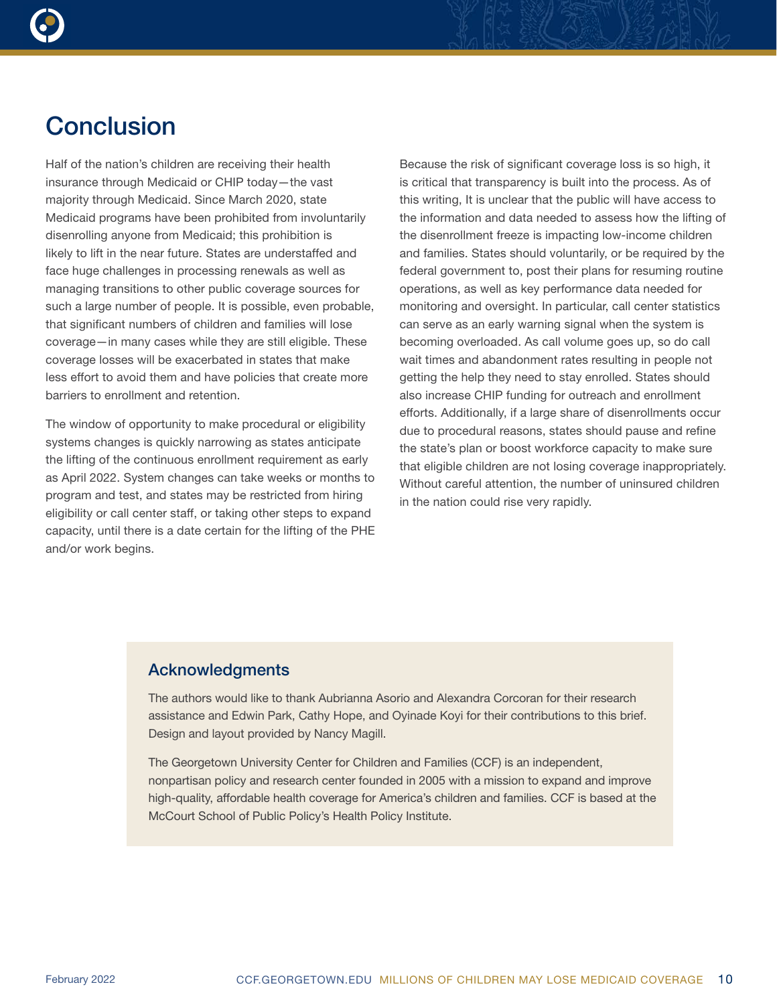

# **Conclusion**

Half of the nation's children are receiving their health insurance through Medicaid or CHIP today—the vast majority through Medicaid. Since March 2020, state Medicaid programs have been prohibited from involuntarily disenrolling anyone from Medicaid; this prohibition is likely to lift in the near future. States are understaffed and face huge challenges in processing renewals as well as managing transitions to other public coverage sources for such a large number of people. It is possible, even probable, that significant numbers of children and families will lose coverage—in many cases while they are still eligible. These coverage losses will be exacerbated in states that make less effort to avoid them and have policies that create more barriers to enrollment and retention.

The window of opportunity to make procedural or eligibility systems changes is quickly narrowing as states anticipate the lifting of the continuous enrollment requirement as early as April 2022. System changes can take weeks or months to program and test, and states may be restricted from hiring eligibility or call center staff, or taking other steps to expand capacity, until there is a date certain for the lifting of the PHE and/or work begins.

Because the risk of significant coverage loss is so high, it is critical that transparency is built into the process. As of this writing, It is unclear that the public will have access to the information and data needed to assess how the lifting of the disenrollment freeze is impacting low-income children and families. States should voluntarily, or be required by the federal government to, post their plans for resuming routine operations, as well as key performance data needed for monitoring and oversight. In particular, call center statistics can serve as an early warning signal when the system is becoming overloaded. As call volume goes up, so do call wait times and abandonment rates resulting in people not getting the help they need to stay enrolled. States should also increase CHIP funding for outreach and enrollment efforts. Additionally, if a large share of disenrollments occur due to procedural reasons, states should pause and refine the state's plan or boost workforce capacity to make sure that eligible children are not losing coverage inappropriately. Without careful attention, the number of uninsured children in the nation could rise very rapidly.

# Acknowledgments

The authors would like to thank Aubrianna Asorio and Alexandra Corcoran for their research assistance and Edwin Park, Cathy Hope, and Oyinade Koyi for their contributions to this brief. Design and layout provided by Nancy Magill.

The Georgetown University Center for Children and Families (CCF) is an independent, nonpartisan policy and research center founded in 2005 with a mission to expand and improve high-quality, affordable health coverage for America's children and families. CCF is based at the McCourt School of Public Policy's Health Policy Institute.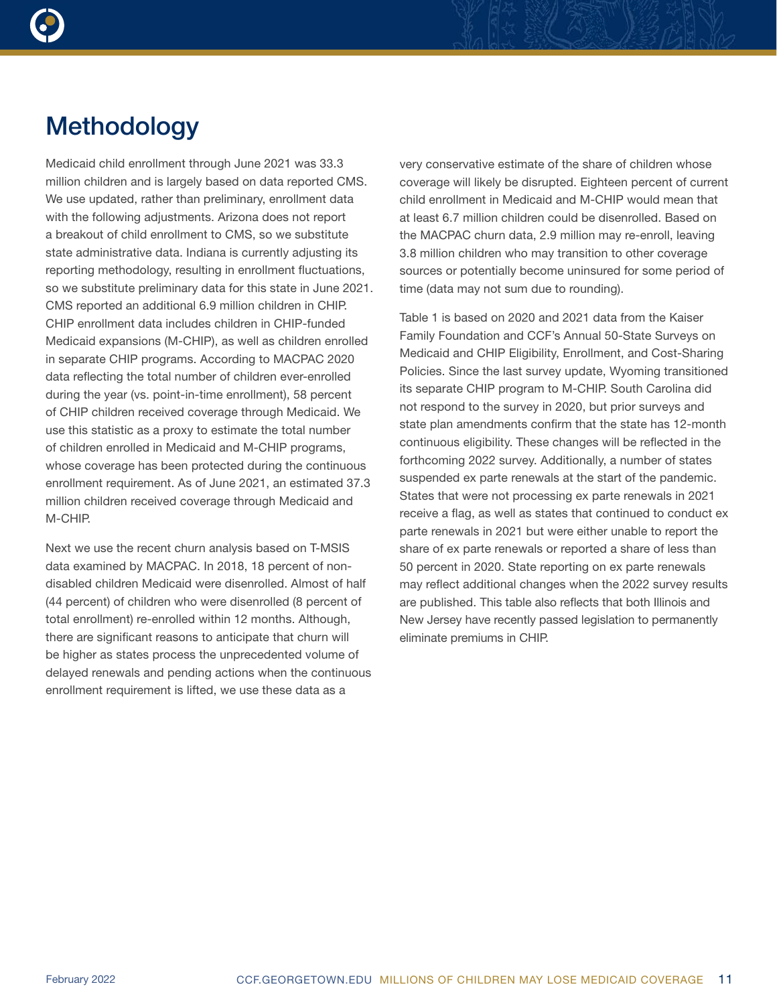

# **Methodology**

Medicaid child enrollment through June 2021 was 33.3 million children and is largely based on data reported CMS. We use updated, rather than preliminary, enrollment data with the following adjustments. Arizona does not report a breakout of child enrollment to CMS, so we substitute state administrative data. Indiana is currently adjusting its reporting methodology, resulting in enrollment fluctuations, so we substitute preliminary data for this state in June 2021. CMS reported an additional 6.9 million children in CHIP. CHIP enrollment data includes children in CHIP-funded Medicaid expansions (M-CHIP), as well as children enrolled in separate CHIP programs. According to MACPAC 2020 data reflecting the total number of children ever-enrolled during the year (vs. point-in-time enrollment), 58 percent of CHIP children received coverage through Medicaid. We use this statistic as a proxy to estimate the total number of children enrolled in Medicaid and M-CHIP programs, whose coverage has been protected during the continuous enrollment requirement. As of June 2021, an estimated 37.3 million children received coverage through Medicaid and M-CHIP.

Next we use the recent churn analysis based on T-MSIS data examined by MACPAC. In 2018, 18 percent of nondisabled children Medicaid were disenrolled. Almost of half (44 percent) of children who were disenrolled (8 percent of total enrollment) re-enrolled within 12 months. Although, there are significant reasons to anticipate that churn will be higher as states process the unprecedented volume of delayed renewals and pending actions when the continuous enrollment requirement is lifted, we use these data as a

very conservative estimate of the share of children whose coverage will likely be disrupted. Eighteen percent of current child enrollment in Medicaid and M-CHIP would mean that at least 6.7 million children could be disenrolled. Based on the MACPAC churn data, 2.9 million may re-enroll, leaving 3.8 million children who may transition to other coverage sources or potentially become uninsured for some period of time (data may not sum due to rounding).

Table 1 is based on 2020 and 2021 data from the Kaiser Family Foundation and CCF's Annual 50-State Surveys on Medicaid and CHIP Eligibility, Enrollment, and Cost-Sharing Policies. Since the last survey update, Wyoming transitioned its separate CHIP program to M-CHIP. South Carolina did not respond to the survey in 2020, but prior surveys and state plan amendments confirm that the state has 12-month continuous eligibility. These changes will be reflected in the forthcoming 2022 survey. Additionally, a number of states suspended ex parte renewals at the start of the pandemic. States that were not processing ex parte renewals in 2021 receive a flag, as well as states that continued to conduct ex parte renewals in 2021 but were either unable to report the share of ex parte renewals or reported a share of less than 50 percent in 2020. State reporting on ex parte renewals may reflect additional changes when the 2022 survey results are published. This table also reflects that both Illinois and New Jersey have recently passed legislation to permanently eliminate premiums in CHIP.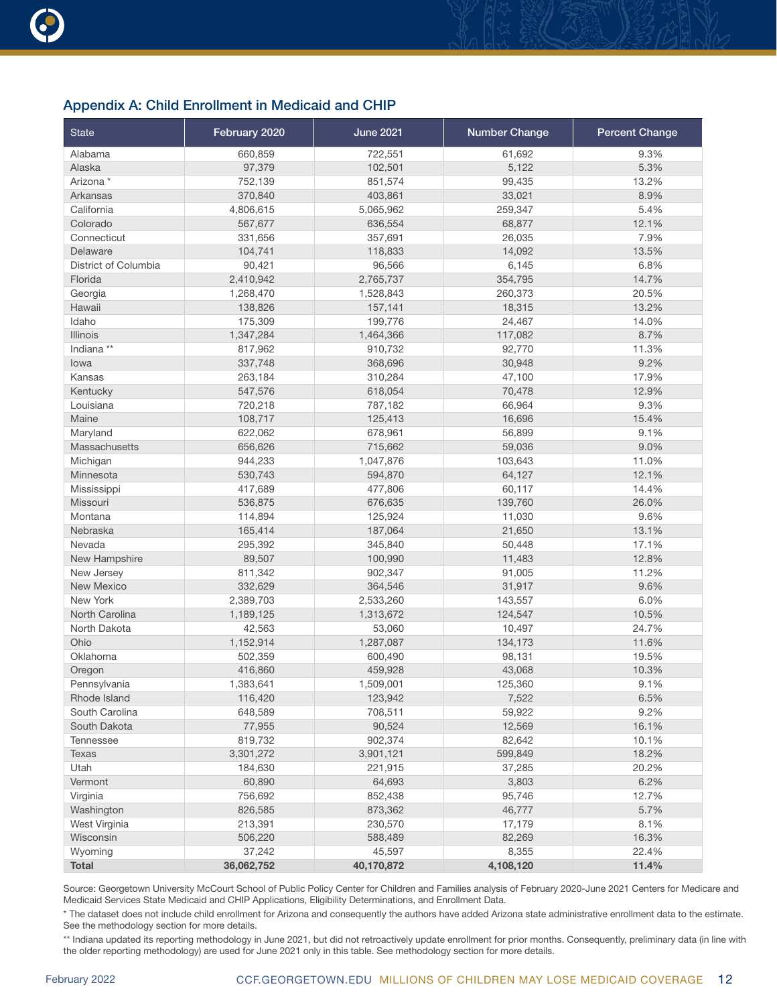## Appendix A: Child Enrollment in Medicaid and CHIP

| <b>State</b>         | February 2020 | <b>June 2021</b> | <b>Number Change</b> | <b>Percent Change</b> |
|----------------------|---------------|------------------|----------------------|-----------------------|
| Alabama              | 660,859       | 722,551          | 61,692               | 9.3%                  |
| Alaska               | 97,379        | 102,501          | 5,122                | 5.3%                  |
| Arizona *            | 752,139       | 851,574          | 99,435               | 13.2%                 |
| Arkansas             | 370,840       | 403,861          | 33,021               | 8.9%                  |
| California           | 4,806,615     | 5,065,962        | 259,347              | 5.4%                  |
| Colorado             | 567,677       | 636,554          | 68,877               | 12.1%                 |
| Connecticut          | 331,656       | 357,691          | 26,035               | 7.9%                  |
| Delaware             | 104,741       | 118,833          | 14,092               | 13.5%                 |
| District of Columbia | 90,421        | 96,566           | 6,145                | 6.8%                  |
| Florida              | 2,410,942     | 2,765,737        | 354,795              | 14.7%                 |
| Georgia              | 1,268,470     | 1,528,843        | 260,373              | 20.5%                 |
| Hawaii               | 138,826       | 157,141          | 18,315               | 13.2%                 |
| Idaho                | 175,309       | 199,776          | 24,467               | 14.0%                 |
| <b>Illinois</b>      | 1,347,284     | 1,464,366        | 117,082              | 8.7%                  |
| Indiana **           | 817,962       | 910,732          | 92,770               | 11.3%                 |
| lowa                 | 337,748       | 368,696          | 30,948               | 9.2%                  |
| Kansas               | 263,184       | 310,284          | 47,100               | 17.9%                 |
| Kentucky             | 547,576       | 618,054          | 70,478               | 12.9%                 |
| Louisiana            | 720,218       | 787,182          | 66,964               | 9.3%                  |
| Maine                | 108,717       | 125,413          | 16,696               | 15.4%                 |
| Maryland             | 622,062       | 678,961          | 56,899               | 9.1%                  |
| Massachusetts        | 656,626       | 715,662          | 59,036               | 9.0%                  |
| Michigan             | 944,233       | 1,047,876        | 103,643              | 11.0%                 |
| Minnesota            | 530,743       | 594,870          | 64,127               | 12.1%                 |
| Mississippi          | 417,689       | 477,806          | 60,117               | 14.4%                 |
| Missouri             | 536,875       | 676,635          | 139,760              | 26.0%                 |
| Montana              | 114,894       | 125,924          | 11,030               | 9.6%                  |
| Nebraska             | 165,414       | 187,064          | 21,650               | 13.1%                 |
| Nevada               | 295,392       | 345,840          | 50,448               | 17.1%                 |
| New Hampshire        | 89,507        | 100,990          | 11,483               | 12.8%                 |
| New Jersey           | 811,342       | 902,347          | 91,005               | 11.2%                 |
| <b>New Mexico</b>    | 332,629       | 364,546          | 31,917               | 9.6%                  |
| New York             | 2,389,703     | 2,533,260        | 143,557              | 6.0%                  |
| North Carolina       | 1,189,125     | 1,313,672        | 124,547              | 10.5%                 |
| North Dakota         | 42,563        | 53,060           | 10,497               | 24.7%                 |
| Ohio                 | 1,152,914     | 1,287,087        | 134,173              | 11.6%                 |
| Oklahoma             | 502,359       | 600,490          | 98,131               | 19.5%                 |
| Oregon               | 416,860       | 459,928          | 43,068               | 10.3%                 |
| Pennsylvania         | 1,383,641     | 1,509,001        | 125,360              | 9.1%                  |
| Rhode Island         | 116,420       | 123,942          | 7,522                | 6.5%                  |
| South Carolina       | 648,589       | 708,511          | 59,922               | 9.2%                  |
| South Dakota         | 77,955        | 90,524           | 12,569               | 16.1%                 |
| <b>Tennessee</b>     | 819,732       | 902,374          | 82,642               | 10.1%                 |
| Texas                | 3,301,272     | 3,901,121        | 599,849              | 18.2%                 |
| Utah                 | 184,630       | 221,915          | 37,285               | 20.2%                 |
| Vermont              | 60,890        | 64,693           | 3,803                | 6.2%                  |
| Virginia             | 756,692       | 852,438          | 95,746               | 12.7%                 |
| Washington           | 826,585       | 873,362          | 46,777               | 5.7%                  |
| West Virginia        | 213,391       | 230,570          | 17,179               | 8.1%                  |
| Wisconsin            | 506,220       | 588,489          | 82,269               | 16.3%                 |
| Wyoming              | 37,242        | 45,597           | 8,355                | 22.4%                 |
| <b>Total</b>         | 36,062,752    | 40,170,872       | 4,108,120            | 11.4%                 |

Source: Georgetown University McCourt School of Public Policy Center for Children and Families analysis of February 2020-June 2021 Centers for Medicare and Medicaid Services State Medicaid and CHIP Applications, Eligibility Determinations, and Enrollment Data.

\* The dataset does not include child enrollment for Arizona and consequently the authors have added Arizona state administrative enrollment data to the estimate. See the methodology section for more details.

\*\* Indiana updated its reporting methodology in June 2021, but did not retroactively update enrollment for prior months. Consequently, preliminary data (in line with the older reporting methodology) are used for June 2021 only in this table. See methodology section for more details.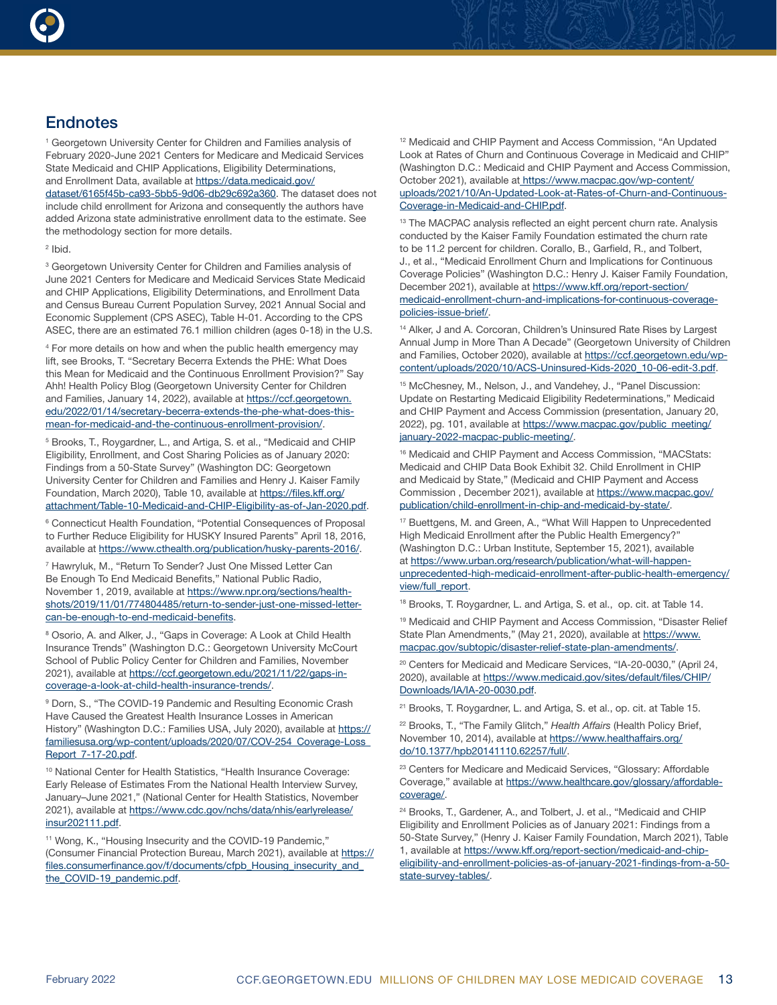

# **Endnotes**

<sup>1</sup> Georgetown University Center for Children and Families analysis of February 2020-June 2021 Centers for Medicare and Medicaid Services State Medicaid and CHIP Applications, Eligibility Determinations, and Enrollment Data, available at [https://data.medicaid.gov/](https://data.medicaid.gov/dataset/6165f45b-ca93-5bb5-9d06-db29c692a360) [dataset/6165f45b-ca93-5bb5-9d06-db29c692a360](https://data.medicaid.gov/dataset/6165f45b-ca93-5bb5-9d06-db29c692a360). The dataset does not include child enrollment for Arizona and consequently the authors have added Arizona state administrative enrollment data to the estimate. See the methodology section for more details.

<sup>2</sup> Ibid.

<sup>3</sup> Georgetown University Center for Children and Families analysis of June 2021 Centers for Medicare and Medicaid Services State Medicaid and CHIP Applications, Eligibility Determinations, and Enrollment Data and Census Bureau Current Population Survey, 2021 Annual Social and Economic Supplement (CPS ASEC), Table H-01. According to the CPS ASEC, there are an estimated 76.1 million children (ages 0-18) in the U.S.

4 For more details on how and when the public health emergency may lift, see Brooks, T. "Secretary Becerra Extends the PHE: What Does this Mean for Medicaid and the Continuous Enrollment Provision?" Say Ahh! Health Policy Blog (Georgetown University Center for Children and Families, January 14, 2022), available at [https://ccf.georgetown.](https://ccf.georgetown.edu/2022/01/14/secretary-becerra-extends-the-phe-what-does-this-mean-for-medicaid-and-the-continuous-enrollment-provision/) [edu/2022/01/14/secretary-becerra-extends-the-phe-what-does-this](https://ccf.georgetown.edu/2022/01/14/secretary-becerra-extends-the-phe-what-does-this-mean-for-medicaid-and-the-continuous-enrollment-provision/)[mean-for-medicaid-and-the-continuous-enrollment-provision/](https://ccf.georgetown.edu/2022/01/14/secretary-becerra-extends-the-phe-what-does-this-mean-for-medicaid-and-the-continuous-enrollment-provision/).

5 Brooks, T., Roygardner, L., and Artiga, S. et al., "Medicaid and CHIP Eligibility, Enrollment, and Cost Sharing Policies as of January 2020: Findings from a 50-State Survey" (Washington DC: Georgetown University Center for Children and Families and Henry J. Kaiser Family Foundation, March 2020), Table 10, available at [https://files.kff.org/](https://files.kff.org/attachment/Table-10-Medicaid-and-CHIP-Eligibility-as-of-Jan-2020.pdf) [attachment/Table-10-Medicaid-and-CHIP-Eligibility-as-of-Jan-2020.pdf.](https://files.kff.org/attachment/Table-10-Medicaid-and-CHIP-Eligibility-as-of-Jan-2020.pdf)

<sup>6</sup> Connecticut Health Foundation, "Potential Consequences of Proposal to Further Reduce Eligibility for HUSKY Insured Parents" April 18, 2016, available at<https://www.cthealth.org/publication/husky-parents-2016/>.

<sup>7</sup> Hawryluk, M., "Return To Sender? Just One Missed Letter Can Be Enough To End Medicaid Benefits," National Public Radio, November 1, 2019, available at [https://www.npr.org/sections/health](https://www.npr.org/sections/health-shots/2019/11/01/774804485/return-to-sender-just-one-missed-letter-can-be-enough-to-end-medicaid-benefits)[shots/2019/11/01/774804485/return-to-sender-just-one-missed-letter](https://www.npr.org/sections/health-shots/2019/11/01/774804485/return-to-sender-just-one-missed-letter-can-be-enough-to-end-medicaid-benefits)[can-be-enough-to-end-medicaid-benefits.](https://www.npr.org/sections/health-shots/2019/11/01/774804485/return-to-sender-just-one-missed-letter-can-be-enough-to-end-medicaid-benefits)

<sup>8</sup> Osorio, A. and Alker, J., "Gaps in Coverage: A Look at Child Health Insurance Trends" (Washington D.C.: Georgetown University McCourt School of Public Policy Center for Children and Families, November 2021), available at [https://ccf.georgetown.edu/2021/11/22/gaps-in](https://ccf.georgetown.edu/2021/11/22/gaps-in-coverage-a-look-at-child-health-insurance-trends/)[coverage-a-look-at-child-health-insurance-trends/.](https://ccf.georgetown.edu/2021/11/22/gaps-in-coverage-a-look-at-child-health-insurance-trends/)

9 Dorn, S., "The COVID-19 Pandemic and Resulting Economic Crash Have Caused the Greatest Health Insurance Losses in American History" (Washington D.C.: Families USA, July 2020), available at [https://](https://familiesusa.org/wp-content/uploads/2020/07/COV-254_Coverage-Loss_Report_7-17-20.pdf) [familiesusa.org/wp-content/uploads/2020/07/COV-254\\_Coverage-Loss\\_](https://familiesusa.org/wp-content/uploads/2020/07/COV-254_Coverage-Loss_Report_7-17-20.pdf) [Report\\_7-17-20.pdf](https://familiesusa.org/wp-content/uploads/2020/07/COV-254_Coverage-Loss_Report_7-17-20.pdf).

<sup>10</sup> National Center for Health Statistics, "Health Insurance Coverage: Early Release of Estimates From the National Health Interview Survey, January–June 2021," (National Center for Health Statistics, November 2021), available at [https://www.cdc.gov/nchs/data/nhis/earlyrelease/](https://www.cdc.gov/nchs/data/nhis/earlyrelease/insur202111.pdf) [insur202111.pdf.](https://www.cdc.gov/nchs/data/nhis/earlyrelease/insur202111.pdf)

<sup>11</sup> Wong, K., "Housing Insecurity and the COVID-19 Pandemic," (Consumer Financial Protection Bureau, March 2021), available at [https://](https://files.consumerfinance.gov/f/documents/cfpb_Housing_insecurity_and_the_COVID-19_pandemic.pdf) [files.consumerfinance.gov/f/documents/cfpb\\_Housing\\_insecurity\\_and\\_](https://files.consumerfinance.gov/f/documents/cfpb_Housing_insecurity_and_the_COVID-19_pandemic.pdf) [the\\_COVID-19\\_pandemic.pdf](https://files.consumerfinance.gov/f/documents/cfpb_Housing_insecurity_and_the_COVID-19_pandemic.pdf).

<sup>12</sup> Medicaid and CHIP Payment and Access Commission, "An Updated Look at Rates of Churn and Continuous Coverage in Medicaid and CHIP" (Washington D.C.: Medicaid and CHIP Payment and Access Commission, October 2021), available at [https://www.macpac.gov/wp-content/]( https://www.macpac.gov/wp-content/uploads/2021/10/An-Updated-Look-at-Rates-of-Churn-and-Continuous-Coverage-in-Medicaid-and-CHIP.pdf) [uploads/2021/10/An-Updated-Look-at-Rates-of-Churn-and-Continuous-]( https://www.macpac.gov/wp-content/uploads/2021/10/An-Updated-Look-at-Rates-of-Churn-and-Continuous-Coverage-in-Medicaid-and-CHIP.pdf)[Coverage-in-Medicaid-and-CHIP.pdf.]( https://www.macpac.gov/wp-content/uploads/2021/10/An-Updated-Look-at-Rates-of-Churn-and-Continuous-Coverage-in-Medicaid-and-CHIP.pdf)

<sup>13</sup> The MACPAC analysis reflected an eight percent churn rate. Analysis conducted by the Kaiser Family Foundation estimated the churn rate to be 11.2 percent for children. Corallo, B., Garfield, R., and Tolbert, J., et al., "Medicaid Enrollment Churn and Implications for Continuous Coverage Policies" (Washington D.C.: Henry J. Kaiser Family Foundation, December 2021), available at [https://www.kff.org/report-section/](https://www.kff.org/report-section/medicaid-enrollment-churn-and-implications-for-continuous-coverage-policies-issue-brief/) [medicaid-enrollment-churn-and-implications-for-continuous-coverage](https://www.kff.org/report-section/medicaid-enrollment-churn-and-implications-for-continuous-coverage-policies-issue-brief/)[policies-issue-brief/.](https://www.kff.org/report-section/medicaid-enrollment-churn-and-implications-for-continuous-coverage-policies-issue-brief/)

<sup>14</sup> Alker, J and A. Corcoran, Children's Uninsured Rate Rises by Largest Annual Jump in More Than A Decade" (Georgetown University of Children and Families, October 2020), available at [https://ccf.georgetown.edu/wp](https://ccf.georgetown.edu/wp-content/uploads/2020/10/ACS-Uninsured-Kids-2020_10-06-edit-3.pdf)[content/uploads/2020/10/ACS-Uninsured-Kids-2020\\_10-06-edit-3.pdf](https://ccf.georgetown.edu/wp-content/uploads/2020/10/ACS-Uninsured-Kids-2020_10-06-edit-3.pdf).

<sup>15</sup> McChesney, M., Nelson, J., and Vandehey, J., "Panel Discussion: Update on Restarting Medicaid Eligibility Redeterminations," Medicaid and CHIP Payment and Access Commission (presentation, January 20, 2022), pg. 101, available at [https://www.macpac.gov/public\\_meeting/](https://www.macpac.gov/public_meeting/january-2022-macpac-public-meeting/) [january-2022-macpac-public-meeting/.](https://www.macpac.gov/public_meeting/january-2022-macpac-public-meeting/)

<sup>16</sup> Medicaid and CHIP Payment and Access Commission, "MACStats: Medicaid and CHIP Data Book Exhibit 32. Child Enrollment in CHIP and Medicaid by State," (Medicaid and CHIP Payment and Access Commission , December 2021), available at [https://www.macpac.gov/](https://www.macpac.gov/publication/child-enrollment-in-chip-and-medicaid-by-state/) [publication/child-enrollment-in-chip-and-medicaid-by-state/.](https://www.macpac.gov/publication/child-enrollment-in-chip-and-medicaid-by-state/)

17 Buettgens, M. and Green, A., "What Will Happen to Unprecedented High Medicaid Enrollment after the Public Health Emergency?" (Washington D.C.: Urban Institute, September 15, 2021), available at [https://www.urban.org/research/publication/what-will-happen](https://www.urban.org/research/publication/what-will-happen-unprecedented-high-medicaid-enrollment-after-public-health-emergency/view/full_report)[unprecedented-high-medicaid-enrollment-after-public-health-emergency/](https://www.urban.org/research/publication/what-will-happen-unprecedented-high-medicaid-enrollment-after-public-health-emergency/view/full_report) [view/full\\_report.](https://www.urban.org/research/publication/what-will-happen-unprecedented-high-medicaid-enrollment-after-public-health-emergency/view/full_report)

<sup>18</sup> Brooks, T. Roygardner, L. and Artiga, S. et al., op. cit. at Table 14.

<sup>19</sup> Medicaid and CHIP Payment and Access Commission, "Disaster Relief State Plan Amendments," (May 21, 2020), available at [https://www.](https://www.macpac.gov/subtopic/disaster-relief-state-plan-amendments/) [macpac.gov/subtopic/disaster-relief-state-plan-amendments/.](https://www.macpac.gov/subtopic/disaster-relief-state-plan-amendments/)

<sup>20</sup> Centers for Medicaid and Medicare Services, "IA-20-0030," (April 24, 2020), available at [https://www.medicaid.gov/sites/default/files/CHIP/](https://www.medicaid.gov/sites/default/files/CHIP/Downloads/IA/IA-20-0030.pdf) [Downloads/IA/IA-20-0030.pdf.](https://www.medicaid.gov/sites/default/files/CHIP/Downloads/IA/IA-20-0030.pdf)

<sup>21</sup> Brooks, T. Roygardner, L. and Artiga, S. et al., op. cit. at Table 15.

22 Brooks, T., "The Family Glitch," *Health Affairs* (Health Policy Brief, November 10, 2014), available at [https://www.healthaffairs.org/](https://www.healthaffairs.org/do/10.1377/hpb20141110.62257/full/) [do/10.1377/hpb20141110.62257/full/.](https://www.healthaffairs.org/do/10.1377/hpb20141110.62257/full/)

<sup>23</sup> Centers for Medicare and Medicaid Services, "Glossary: Affordable Coverage," available at [https://www.healthcare.gov/glossary/affordable](https://www.healthcare.gov/glossary/affordable-coverage/)[coverage/](https://www.healthcare.gov/glossary/affordable-coverage/).

<sup>24</sup> Brooks, T., Gardener, A., and Tolbert, J. et al., "Medicaid and CHIP Eligibility and Enrollment Policies as of January 2021: Findings from a 50-State Survey," (Henry J. Kaiser Family Foundation, March 2021), Table 1, available at [https://www.kff.org/report-section/medicaid-and-chip](https://www.kff.org/report-section/medicaid-and-chip-eligibility-and-enrollment-policies-as-of-january-2021-findings-from-a-50-state-survey-tables/)[eligibility-and-enrollment-policies-as-of-january-2021-findings-from-a-50](https://www.kff.org/report-section/medicaid-and-chip-eligibility-and-enrollment-policies-as-of-january-2021-findings-from-a-50-state-survey-tables/) [state-survey-tables/.](https://www.kff.org/report-section/medicaid-and-chip-eligibility-and-enrollment-policies-as-of-january-2021-findings-from-a-50-state-survey-tables/)